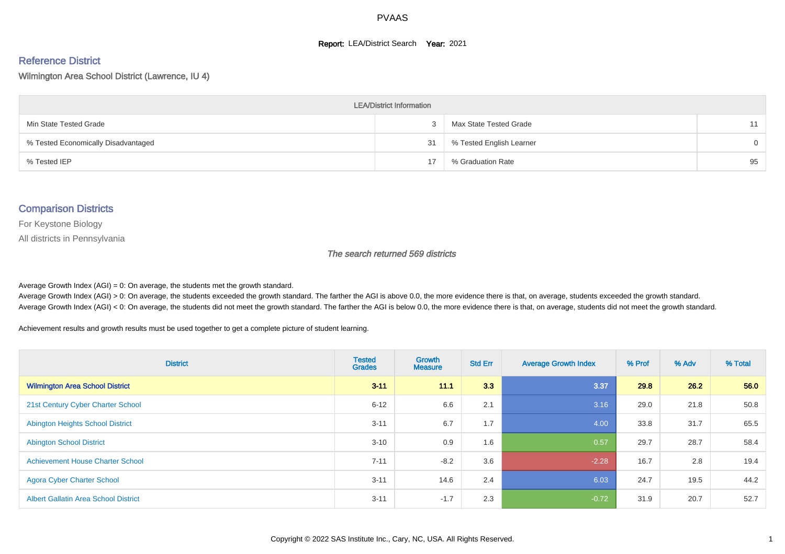#### **Report: LEA/District Search Year: 2021**

# Reference District

Wilmington Area School District (Lawrence, IU 4)

| <b>LEA/District Information</b>     |    |                          |          |  |  |  |  |  |  |  |
|-------------------------------------|----|--------------------------|----------|--|--|--|--|--|--|--|
| Min State Tested Grade              |    | Max State Tested Grade   | 11       |  |  |  |  |  |  |  |
| % Tested Economically Disadvantaged | 31 | % Tested English Learner | $\Omega$ |  |  |  |  |  |  |  |
| % Tested IEP                        | 17 | % Graduation Rate        | 95       |  |  |  |  |  |  |  |

#### Comparison Districts

For Keystone Biology

All districts in Pennsylvania

The search returned 569 districts

Average Growth Index  $(AGI) = 0$ : On average, the students met the growth standard.

Average Growth Index (AGI) > 0: On average, the students exceeded the growth standard. The farther the AGI is above 0.0, the more evidence there is that, on average, students exceeded the growth standard. Average Growth Index (AGI) < 0: On average, the students did not meet the growth standard. The farther the AGI is below 0.0, the more evidence there is that, on average, students did not meet the growth standard.

Achievement results and growth results must be used together to get a complete picture of student learning.

| <b>District</b>                             | <b>Tested</b><br><b>Grades</b> | <b>Growth</b><br><b>Measure</b> | <b>Std Err</b> | <b>Average Growth Index</b> | % Prof | % Adv | % Total |
|---------------------------------------------|--------------------------------|---------------------------------|----------------|-----------------------------|--------|-------|---------|
| <b>Wilmington Area School District</b>      | $3 - 11$                       | 11.1                            | 3.3            | 3.37                        | 29.8   | 26.2  | 56.0    |
| 21st Century Cyber Charter School           | $6 - 12$                       | 6.6                             | 2.1            | 3.16                        | 29.0   | 21.8  | 50.8    |
| <b>Abington Heights School District</b>     | $3 - 11$                       | 6.7                             | 1.7            | 4.00                        | 33.8   | 31.7  | 65.5    |
| <b>Abington School District</b>             | $3 - 10$                       | 0.9                             | 1.6            | 0.57                        | 29.7   | 28.7  | 58.4    |
| <b>Achievement House Charter School</b>     | $7 - 11$                       | $-8.2$                          | 3.6            | $-2.28$                     | 16.7   | 2.8   | 19.4    |
| <b>Agora Cyber Charter School</b>           | $3 - 11$                       | 14.6                            | 2.4            | 6.03                        | 24.7   | 19.5  | 44.2    |
| <b>Albert Gallatin Area School District</b> | $3 - 11$                       | $-1.7$                          | 2.3            | $-0.72$                     | 31.9   | 20.7  | 52.7    |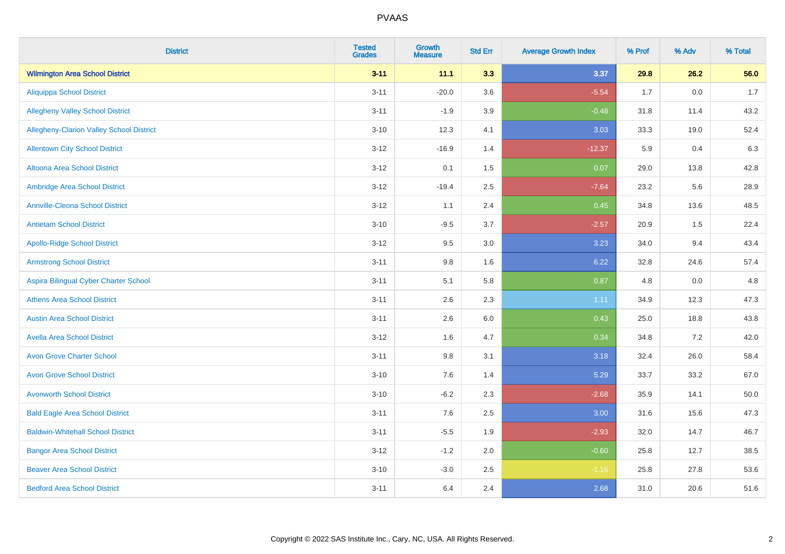| <b>District</b>                                 | <b>Tested</b><br><b>Grades</b> | <b>Growth</b><br><b>Measure</b> | <b>Std Err</b> | <b>Average Growth Index</b> | % Prof | % Adv   | % Total |
|-------------------------------------------------|--------------------------------|---------------------------------|----------------|-----------------------------|--------|---------|---------|
| <b>Wilmington Area School District</b>          | $3 - 11$                       | 11.1                            | 3.3            | 3.37                        | 29.8   | 26.2    | 56.0    |
| <b>Aliquippa School District</b>                | $3 - 11$                       | $-20.0$                         | 3.6            | $-5.54$                     | 1.7    | $0.0\,$ | 1.7     |
| <b>Allegheny Valley School District</b>         | $3 - 11$                       | $-1.9$                          | 3.9            | $-0.48$                     | 31.8   | 11.4    | 43.2    |
| <b>Allegheny-Clarion Valley School District</b> | $3 - 10$                       | 12.3                            | 4.1            | 3.03                        | 33.3   | 19.0    | 52.4    |
| <b>Allentown City School District</b>           | $3-12$                         | $-16.9$                         | 1.4            | $-12.37$                    | 5.9    | 0.4     | 6.3     |
| Altoona Area School District                    | $3-12$                         | 0.1                             | 1.5            | 0.07                        | 29.0   | 13.8    | 42.8    |
| Ambridge Area School District                   | $3 - 12$                       | $-19.4$                         | 2.5            | $-7.64$                     | 23.2   | 5.6     | 28.9    |
| <b>Annville-Cleona School District</b>          | $3 - 12$                       | 1.1                             | 2.4            | 0.45                        | 34.8   | 13.6    | 48.5    |
| <b>Antietam School District</b>                 | $3 - 10$                       | $-9.5$                          | 3.7            | $-2.57$                     | 20.9   | 1.5     | 22.4    |
| <b>Apollo-Ridge School District</b>             | $3-12$                         | 9.5                             | 3.0            | 3.23                        | 34.0   | 9.4     | 43.4    |
| <b>Armstrong School District</b>                | $3 - 11$                       | 9.8                             | 1.6            | 6.22                        | 32.8   | 24.6    | 57.4    |
| Aspira Bilingual Cyber Charter School           | $3 - 11$                       | 5.1                             | 5.8            | 0.87                        | 4.8    | 0.0     | 4.8     |
| <b>Athens Area School District</b>              | $3 - 11$                       | 2.6                             | 2.3            | 1.11                        | 34.9   | 12.3    | 47.3    |
| <b>Austin Area School District</b>              | $3 - 11$                       | 2.6                             | 6.0            | 0.43                        | 25.0   | 18.8    | 43.8    |
| <b>Avella Area School District</b>              | $3 - 12$                       | 1.6                             | 4.7            | 0.34                        | 34.8   | 7.2     | 42.0    |
| <b>Avon Grove Charter School</b>                | $3 - 11$                       | 9.8                             | 3.1            | 3.18                        | 32.4   | 26.0    | 58.4    |
| <b>Avon Grove School District</b>               | $3 - 10$                       | 7.6                             | 1.4            | 5.29                        | 33.7   | 33.2    | 67.0    |
| <b>Avonworth School District</b>                | $3 - 10$                       | $-6.2$                          | 2.3            | $-2.68$                     | 35.9   | 14.1    | 50.0    |
| <b>Bald Eagle Area School District</b>          | $3 - 11$                       | 7.6                             | 2.5            | 3.00                        | 31.6   | 15.6    | 47.3    |
| <b>Baldwin-Whitehall School District</b>        | $3 - 11$                       | $-5.5$                          | 1.9            | $-2.93$                     | 32.0   | 14.7    | 46.7    |
| <b>Bangor Area School District</b>              | $3 - 12$                       | $-1.2$                          | 2.0            | $-0.60$                     | 25.8   | 12.7    | 38.5    |
| <b>Beaver Area School District</b>              | $3 - 10$                       | $-3.0$                          | 2.5            | $-1.16$                     | 25.8   | 27.8    | 53.6    |
| <b>Bedford Area School District</b>             | $3 - 11$                       | 6.4                             | 2.4            | 2.68                        | 31.0   | 20.6    | 51.6    |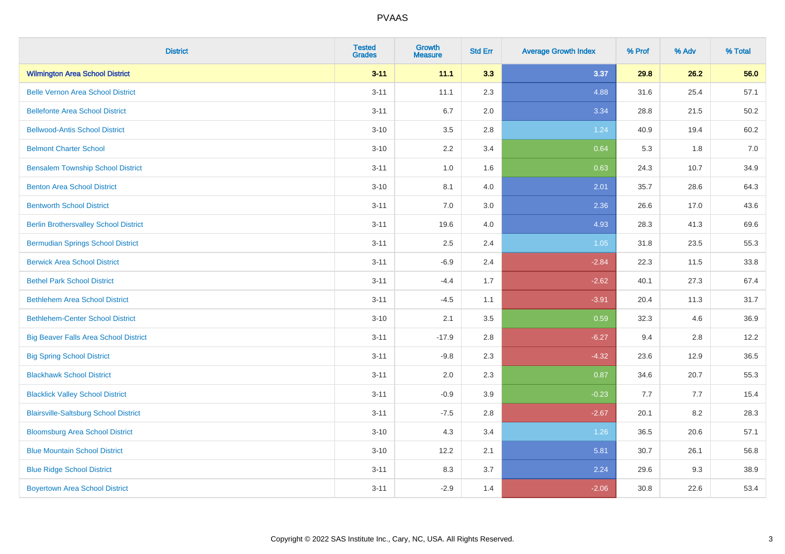| <b>District</b>                              | <b>Tested</b><br><b>Grades</b> | <b>Growth</b><br><b>Measure</b> | <b>Std Err</b> | <b>Average Growth Index</b> | % Prof | % Adv | % Total |
|----------------------------------------------|--------------------------------|---------------------------------|----------------|-----------------------------|--------|-------|---------|
| <b>Wilmington Area School District</b>       | $3 - 11$                       | 11.1                            | 3.3            | 3.37                        | 29.8   | 26.2  | 56.0    |
| <b>Belle Vernon Area School District</b>     | $3 - 11$                       | 11.1                            | 2.3            | 4.88                        | 31.6   | 25.4  | 57.1    |
| <b>Bellefonte Area School District</b>       | $3 - 11$                       | 6.7                             | 2.0            | 3.34                        | 28.8   | 21.5  | 50.2    |
| <b>Bellwood-Antis School District</b>        | $3 - 10$                       | 3.5                             | 2.8            | 1.24                        | 40.9   | 19.4  | 60.2    |
| <b>Belmont Charter School</b>                | $3 - 10$                       | 2.2                             | 3.4            | 0.64                        | 5.3    | 1.8   | 7.0     |
| <b>Bensalem Township School District</b>     | $3 - 11$                       | 1.0                             | 1.6            | 0.63                        | 24.3   | 10.7  | 34.9    |
| <b>Benton Area School District</b>           | $3 - 10$                       | 8.1                             | 4.0            | 2.01                        | 35.7   | 28.6  | 64.3    |
| <b>Bentworth School District</b>             | $3 - 11$                       | 7.0                             | 3.0            | 2.36                        | 26.6   | 17.0  | 43.6    |
| <b>Berlin Brothersvalley School District</b> | $3 - 11$                       | 19.6                            | 4.0            | 4.93                        | 28.3   | 41.3  | 69.6    |
| <b>Bermudian Springs School District</b>     | $3 - 11$                       | 2.5                             | 2.4            | 1.05                        | 31.8   | 23.5  | 55.3    |
| <b>Berwick Area School District</b>          | $3 - 11$                       | $-6.9$                          | 2.4            | $-2.84$                     | 22.3   | 11.5  | 33.8    |
| <b>Bethel Park School District</b>           | $3 - 11$                       | $-4.4$                          | 1.7            | $-2.62$                     | 40.1   | 27.3  | 67.4    |
| <b>Bethlehem Area School District</b>        | $3 - 11$                       | $-4.5$                          | 1.1            | $-3.91$                     | 20.4   | 11.3  | 31.7    |
| <b>Bethlehem-Center School District</b>      | $3 - 10$                       | 2.1                             | 3.5            | 0.59                        | 32.3   | 4.6   | 36.9    |
| <b>Big Beaver Falls Area School District</b> | $3 - 11$                       | $-17.9$                         | 2.8            | $-6.27$                     | 9.4    | 2.8   | 12.2    |
| <b>Big Spring School District</b>            | $3 - 11$                       | $-9.8$                          | 2.3            | $-4.32$                     | 23.6   | 12.9  | 36.5    |
| <b>Blackhawk School District</b>             | $3 - 11$                       | 2.0                             | 2.3            | 0.87                        | 34.6   | 20.7  | 55.3    |
| <b>Blacklick Valley School District</b>      | $3 - 11$                       | $-0.9$                          | 3.9            | $-0.23$                     | 7.7    | 7.7   | 15.4    |
| <b>Blairsville-Saltsburg School District</b> | $3 - 11$                       | $-7.5$                          | 2.8            | $-2.67$                     | 20.1   | 8.2   | 28.3    |
| <b>Bloomsburg Area School District</b>       | $3 - 10$                       | 4.3                             | 3.4            | 1.26                        | 36.5   | 20.6  | 57.1    |
| <b>Blue Mountain School District</b>         | $3 - 10$                       | 12.2                            | 2.1            | 5.81                        | 30.7   | 26.1  | 56.8    |
| <b>Blue Ridge School District</b>            | $3 - 11$                       | 8.3                             | 3.7            | 2.24                        | 29.6   | 9.3   | 38.9    |
| <b>Boyertown Area School District</b>        | $3 - 11$                       | $-2.9$                          | 1.4            | $-2.06$                     | 30.8   | 22.6  | 53.4    |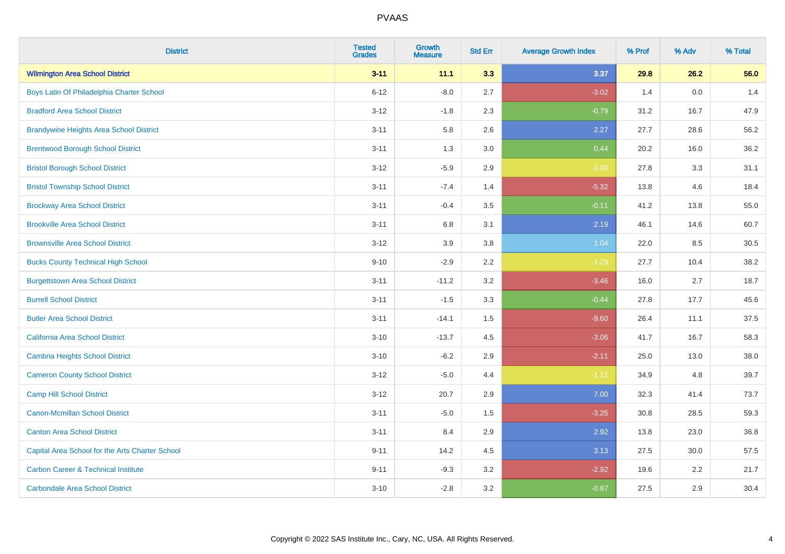| <b>District</b>                                 | <b>Tested</b><br><b>Grades</b> | <b>Growth</b><br><b>Measure</b> | <b>Std Err</b> | <b>Average Growth Index</b> | % Prof | % Adv | % Total |
|-------------------------------------------------|--------------------------------|---------------------------------|----------------|-----------------------------|--------|-------|---------|
| <b>Wilmington Area School District</b>          | $3 - 11$                       | 11.1                            | 3.3            | 3.37                        | 29.8   | 26.2  | 56.0    |
| Boys Latin Of Philadelphia Charter School       | $6 - 12$                       | $-8.0$                          | 2.7            | $-3.02$                     | 1.4    | 0.0   | 1.4     |
| <b>Bradford Area School District</b>            | $3 - 12$                       | $-1.8$                          | 2.3            | $-0.79$                     | 31.2   | 16.7  | 47.9    |
| <b>Brandywine Heights Area School District</b>  | $3 - 11$                       | 5.8                             | 2.6            | 2.27                        | 27.7   | 28.6  | 56.2    |
| <b>Brentwood Borough School District</b>        | $3 - 11$                       | 1.3                             | 3.0            | 0.44                        | 20.2   | 16.0  | 36.2    |
| <b>Bristol Borough School District</b>          | $3 - 12$                       | $-5.9$                          | 2.9            | $-2.00$                     | 27.8   | 3.3   | 31.1    |
| <b>Bristol Township School District</b>         | $3 - 11$                       | $-7.4$                          | 1.4            | $-5.32$                     | 13.8   | 4.6   | 18.4    |
| <b>Brockway Area School District</b>            | $3 - 11$                       | $-0.4$                          | 3.5            | $-0.11$                     | 41.2   | 13.8  | 55.0    |
| <b>Brookville Area School District</b>          | $3 - 11$                       | 6.8                             | 3.1            | 2.19                        | 46.1   | 14.6  | 60.7    |
| <b>Brownsville Area School District</b>         | $3 - 12$                       | 3.9                             | 3.8            | 1.04                        | 22.0   | 8.5   | 30.5    |
| <b>Bucks County Technical High School</b>       | $9 - 10$                       | $-2.9$                          | 2.2            | $-1.29$                     | 27.7   | 10.4  | 38.2    |
| <b>Burgettstown Area School District</b>        | $3 - 11$                       | $-11.2$                         | 3.2            | $-3.46$                     | 16.0   | 2.7   | 18.7    |
| <b>Burrell School District</b>                  | $3 - 11$                       | $-1.5$                          | 3.3            | $-0.44$                     | 27.8   | 17.7  | 45.6    |
| <b>Butler Area School District</b>              | $3 - 11$                       | $-14.1$                         | 1.5            | $-9.60$                     | 26.4   | 11.1  | 37.5    |
| California Area School District                 | $3 - 10$                       | $-13.7$                         | 4.5            | $-3.06$                     | 41.7   | 16.7  | 58.3    |
| <b>Cambria Heights School District</b>          | $3 - 10$                       | $-6.2$                          | 2.9            | $-2.11$                     | 25.0   | 13.0  | 38.0    |
| <b>Cameron County School District</b>           | $3 - 12$                       | $-5.0$                          | 4.4            | $-1.12$                     | 34.9   | 4.8   | 39.7    |
| <b>Camp Hill School District</b>                | $3 - 12$                       | 20.7                            | 2.9            | 7.00                        | 32.3   | 41.4  | 73.7    |
| <b>Canon-Mcmillan School District</b>           | $3 - 11$                       | $-5.0$                          | $1.5\,$        | $-3.25$                     | 30.8   | 28.5  | 59.3    |
| <b>Canton Area School District</b>              | $3 - 11$                       | 8.4                             | 2.9            | 2.92                        | 13.8   | 23.0  | 36.8    |
| Capital Area School for the Arts Charter School | $9 - 11$                       | 14.2                            | 4.5            | 3.13                        | 27.5   | 30.0  | 57.5    |
| <b>Carbon Career &amp; Technical Institute</b>  | $9 - 11$                       | $-9.3$                          | 3.2            | $-2.92$                     | 19.6   | 2.2   | 21.7    |
| <b>Carbondale Area School District</b>          | $3 - 10$                       | $-2.8$                          | 3.2            | $-0.87$                     | 27.5   | 2.9   | 30.4    |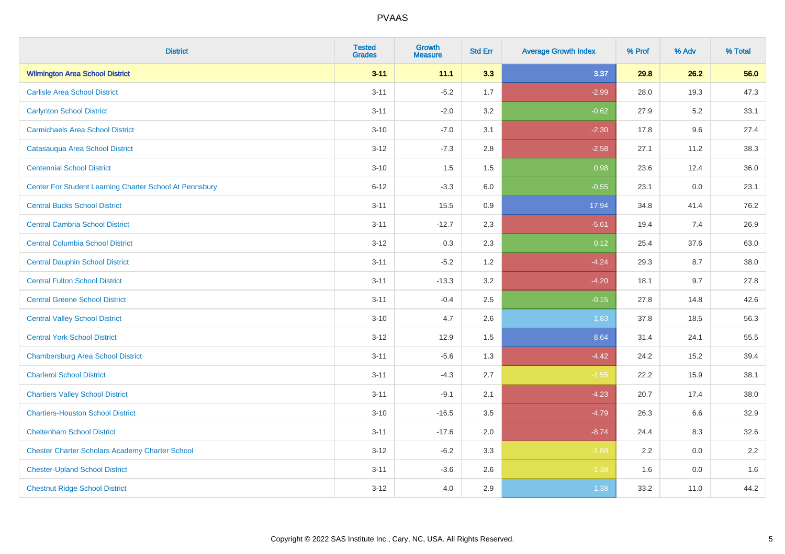| <b>District</b>                                         | <b>Tested</b><br><b>Grades</b> | <b>Growth</b><br><b>Measure</b> | <b>Std Err</b> | <b>Average Growth Index</b> | % Prof | % Adv   | % Total |
|---------------------------------------------------------|--------------------------------|---------------------------------|----------------|-----------------------------|--------|---------|---------|
| <b>Wilmington Area School District</b>                  | $3 - 11$                       | 11.1                            | 3.3            | 3.37                        | 29.8   | 26.2    | 56.0    |
| <b>Carlisle Area School District</b>                    | $3 - 11$                       | $-5.2$                          | 1.7            | $-2.99$                     | 28.0   | 19.3    | 47.3    |
| <b>Carlynton School District</b>                        | $3 - 11$                       | $-2.0$                          | 3.2            | $-0.62$                     | 27.9   | 5.2     | 33.1    |
| <b>Carmichaels Area School District</b>                 | $3 - 10$                       | $-7.0$                          | 3.1            | $-2.30$                     | 17.8   | 9.6     | 27.4    |
| Catasauqua Area School District                         | $3 - 12$                       | $-7.3$                          | 2.8            | $-2.58$                     | 27.1   | 11.2    | 38.3    |
| <b>Centennial School District</b>                       | $3 - 10$                       | 1.5                             | 1.5            | 0.98                        | 23.6   | 12.4    | 36.0    |
| Center For Student Learning Charter School At Pennsbury | $6 - 12$                       | $-3.3$                          | 6.0            | $-0.55$                     | 23.1   | 0.0     | 23.1    |
| <b>Central Bucks School District</b>                    | $3 - 11$                       | 15.5                            | 0.9            | 17.94                       | 34.8   | 41.4    | 76.2    |
| <b>Central Cambria School District</b>                  | $3 - 11$                       | $-12.7$                         | 2.3            | $-5.61$                     | 19.4   | 7.4     | 26.9    |
| <b>Central Columbia School District</b>                 | $3-12$                         | 0.3                             | 2.3            | 0.12                        | 25.4   | 37.6    | 63.0    |
| <b>Central Dauphin School District</b>                  | $3 - 11$                       | $-5.2$                          | 1.2            | $-4.24$                     | 29.3   | 8.7     | 38.0    |
| <b>Central Fulton School District</b>                   | $3 - 11$                       | $-13.3$                         | 3.2            | $-4.20$                     | 18.1   | 9.7     | 27.8    |
| <b>Central Greene School District</b>                   | $3 - 11$                       | $-0.4$                          | 2.5            | $-0.15$                     | 27.8   | 14.8    | 42.6    |
| <b>Central Valley School District</b>                   | $3 - 10$                       | 4.7                             | 2.6            | 1.83                        | 37.8   | 18.5    | 56.3    |
| <b>Central York School District</b>                     | $3-12$                         | 12.9                            | 1.5            | 8.64                        | 31.4   | 24.1    | 55.5    |
| <b>Chambersburg Area School District</b>                | $3 - 11$                       | $-5.6$                          | 1.3            | $-4.42$                     | 24.2   | 15.2    | 39.4    |
| <b>Charleroi School District</b>                        | $3 - 11$                       | $-4.3$                          | 2.7            | $-1.55$                     | 22.2   | 15.9    | 38.1    |
| <b>Chartiers Valley School District</b>                 | $3 - 11$                       | $-9.1$                          | 2.1            | $-4.23$                     | 20.7   | 17.4    | 38.0    |
| <b>Chartiers-Houston School District</b>                | $3 - 10$                       | $-16.5$                         | 3.5            | $-4.79$                     | 26.3   | 6.6     | 32.9    |
| <b>Cheltenham School District</b>                       | $3 - 11$                       | $-17.6$                         | 2.0            | $-8.74$                     | 24.4   | 8.3     | 32.6    |
| <b>Chester Charter Scholars Academy Charter School</b>  | $3 - 12$                       | $-6.2$                          | 3.3            | $-1.88$                     | 2.2    | 0.0     | 2.2     |
| <b>Chester-Upland School District</b>                   | $3 - 11$                       | $-3.6$                          | 2.6            | $-1.38$                     | 1.6    | $0.0\,$ | 1.6     |
| <b>Chestnut Ridge School District</b>                   | $3-12$                         | 4.0                             | 2.9            | 1.38                        | 33.2   | 11.0    | 44.2    |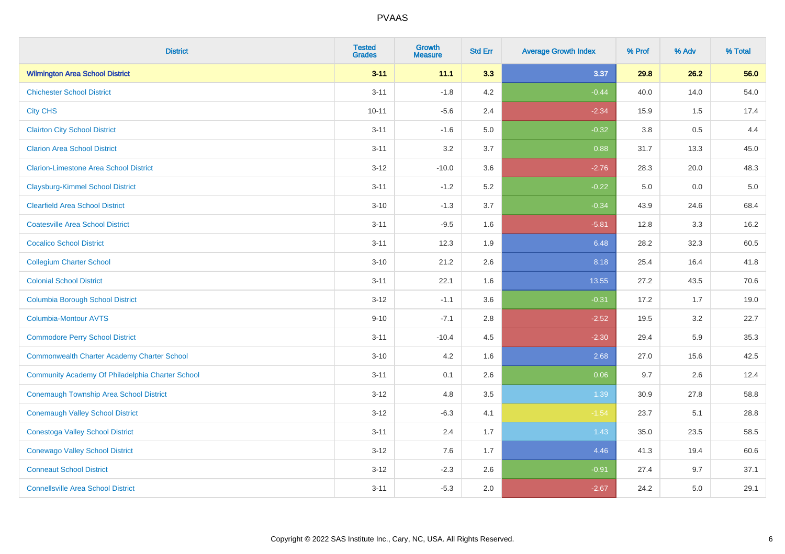| <b>District</b>                                    | <b>Tested</b><br><b>Grades</b> | <b>Growth</b><br><b>Measure</b> | <b>Std Err</b> | <b>Average Growth Index</b> | % Prof  | % Adv   | % Total |
|----------------------------------------------------|--------------------------------|---------------------------------|----------------|-----------------------------|---------|---------|---------|
| <b>Wilmington Area School District</b>             | $3 - 11$                       | 11.1                            | 3.3            | 3.37                        | 29.8    | 26.2    | 56.0    |
| <b>Chichester School District</b>                  | $3 - 11$                       | $-1.8$                          | 4.2            | $-0.44$                     | 40.0    | 14.0    | 54.0    |
| <b>City CHS</b>                                    | $10 - 11$                      | $-5.6$                          | 2.4            | $-2.34$                     | 15.9    | 1.5     | 17.4    |
| <b>Clairton City School District</b>               | $3 - 11$                       | $-1.6$                          | $5.0\,$        | $-0.32$                     | $3.8\,$ | 0.5     | 4.4     |
| <b>Clarion Area School District</b>                | $3 - 11$                       | 3.2                             | 3.7            | 0.88                        | 31.7    | 13.3    | 45.0    |
| <b>Clarion-Limestone Area School District</b>      | $3 - 12$                       | $-10.0$                         | 3.6            | $-2.76$                     | 28.3    | 20.0    | 48.3    |
| <b>Claysburg-Kimmel School District</b>            | $3 - 11$                       | $-1.2$                          | 5.2            | $-0.22$                     | 5.0     | $0.0\,$ | $5.0$   |
| <b>Clearfield Area School District</b>             | $3 - 10$                       | $-1.3$                          | 3.7            | $-0.34$                     | 43.9    | 24.6    | 68.4    |
| <b>Coatesville Area School District</b>            | $3 - 11$                       | $-9.5$                          | 1.6            | $-5.81$                     | 12.8    | 3.3     | 16.2    |
| <b>Cocalico School District</b>                    | $3 - 11$                       | 12.3                            | 1.9            | 6.48                        | 28.2    | 32.3    | 60.5    |
| <b>Collegium Charter School</b>                    | $3 - 10$                       | 21.2                            | 2.6            | 8.18                        | 25.4    | 16.4    | 41.8    |
| <b>Colonial School District</b>                    | $3 - 11$                       | 22.1                            | 1.6            | 13.55                       | 27.2    | 43.5    | 70.6    |
| <b>Columbia Borough School District</b>            | $3 - 12$                       | $-1.1$                          | 3.6            | $-0.31$                     | 17.2    | 1.7     | 19.0    |
| <b>Columbia-Montour AVTS</b>                       | $9 - 10$                       | $-7.1$                          | 2.8            | $-2.52$                     | 19.5    | 3.2     | 22.7    |
| <b>Commodore Perry School District</b>             | $3 - 11$                       | $-10.4$                         | 4.5            | $-2.30$                     | 29.4    | 5.9     | 35.3    |
| <b>Commonwealth Charter Academy Charter School</b> | $3 - 10$                       | 4.2                             | 1.6            | 2.68                        | 27.0    | 15.6    | 42.5    |
| Community Academy Of Philadelphia Charter School   | $3 - 11$                       | 0.1                             | 2.6            | 0.06                        | 9.7     | 2.6     | 12.4    |
| <b>Conemaugh Township Area School District</b>     | $3 - 12$                       | 4.8                             | 3.5            | 1.39                        | 30.9    | 27.8    | 58.8    |
| <b>Conemaugh Valley School District</b>            | $3 - 12$                       | $-6.3$                          | 4.1            | $-1.54$                     | 23.7    | 5.1     | 28.8    |
| <b>Conestoga Valley School District</b>            | $3 - 11$                       | 2.4                             | 1.7            | 1.43                        | 35.0    | 23.5    | 58.5    |
| <b>Conewago Valley School District</b>             | $3 - 12$                       | 7.6                             | 1.7            | 4.46                        | 41.3    | 19.4    | 60.6    |
| <b>Conneaut School District</b>                    | $3 - 12$                       | $-2.3$                          | 2.6            | $-0.91$                     | 27.4    | 9.7     | 37.1    |
| <b>Connellsville Area School District</b>          | $3 - 11$                       | $-5.3$                          | 2.0            | $-2.67$                     | 24.2    | 5.0     | 29.1    |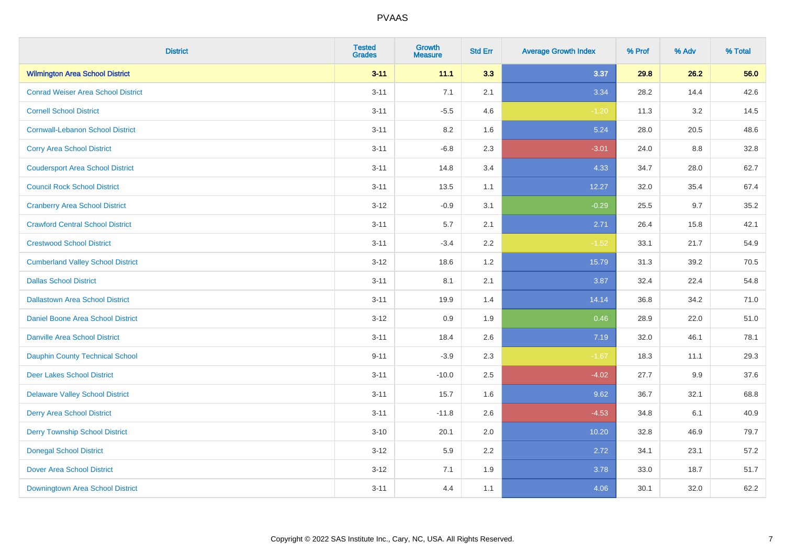| <b>District</b>                           | <b>Tested</b><br><b>Grades</b> | Growth<br><b>Measure</b> | <b>Std Err</b> | <b>Average Growth Index</b> | % Prof | % Adv | % Total |
|-------------------------------------------|--------------------------------|--------------------------|----------------|-----------------------------|--------|-------|---------|
| <b>Wilmington Area School District</b>    | $3 - 11$                       | 11.1                     | 3.3            | 3.37                        | 29.8   | 26.2  | 56.0    |
| <b>Conrad Weiser Area School District</b> | $3 - 11$                       | 7.1                      | 2.1            | 3.34                        | 28.2   | 14.4  | 42.6    |
| <b>Cornell School District</b>            | $3 - 11$                       | $-5.5$                   | 4.6            | $-1.20$                     | 11.3   | 3.2   | 14.5    |
| <b>Cornwall-Lebanon School District</b>   | $3 - 11$                       | $8.2\,$                  | 1.6            | 5.24                        | 28.0   | 20.5  | 48.6    |
| <b>Corry Area School District</b>         | $3 - 11$                       | $-6.8$                   | 2.3            | $-3.01$                     | 24.0   | 8.8   | 32.8    |
| <b>Coudersport Area School District</b>   | $3 - 11$                       | 14.8                     | 3.4            | 4.33                        | 34.7   | 28.0  | 62.7    |
| <b>Council Rock School District</b>       | $3 - 11$                       | 13.5                     | 1.1            | 12.27                       | 32.0   | 35.4  | 67.4    |
| <b>Cranberry Area School District</b>     | $3 - 12$                       | $-0.9$                   | 3.1            | $-0.29$                     | 25.5   | 9.7   | 35.2    |
| <b>Crawford Central School District</b>   | $3 - 11$                       | 5.7                      | 2.1            | 2.71                        | 26.4   | 15.8  | 42.1    |
| <b>Crestwood School District</b>          | $3 - 11$                       | $-3.4$                   | $2.2\,$        | $-1.52$                     | 33.1   | 21.7  | 54.9    |
| <b>Cumberland Valley School District</b>  | $3 - 12$                       | 18.6                     | 1.2            | 15.79                       | 31.3   | 39.2  | 70.5    |
| <b>Dallas School District</b>             | $3 - 11$                       | 8.1                      | 2.1            | 3.87                        | 32.4   | 22.4  | 54.8    |
| <b>Dallastown Area School District</b>    | $3 - 11$                       | 19.9                     | 1.4            | 14.14                       | 36.8   | 34.2  | 71.0    |
| Daniel Boone Area School District         | $3 - 12$                       | 0.9                      | 1.9            | 0.46                        | 28.9   | 22.0  | 51.0    |
| <b>Danville Area School District</b>      | $3 - 11$                       | 18.4                     | 2.6            | 7.19                        | 32.0   | 46.1  | 78.1    |
| <b>Dauphin County Technical School</b>    | $9 - 11$                       | $-3.9$                   | 2.3            | $-1.67$                     | 18.3   | 11.1  | 29.3    |
| <b>Deer Lakes School District</b>         | $3 - 11$                       | $-10.0$                  | 2.5            | $-4.02$                     | 27.7   | 9.9   | 37.6    |
| <b>Delaware Valley School District</b>    | $3 - 11$                       | 15.7                     | 1.6            | 9.62                        | 36.7   | 32.1  | 68.8    |
| <b>Derry Area School District</b>         | $3 - 11$                       | $-11.8$                  | 2.6            | $-4.53$                     | 34.8   | 6.1   | 40.9    |
| <b>Derry Township School District</b>     | $3 - 10$                       | 20.1                     | 2.0            | 10.20                       | 32.8   | 46.9  | 79.7    |
| <b>Donegal School District</b>            | $3 - 12$                       | 5.9                      | 2.2            | 2.72                        | 34.1   | 23.1  | 57.2    |
| <b>Dover Area School District</b>         | $3 - 12$                       | 7.1                      | 1.9            | 3.78                        | 33.0   | 18.7  | 51.7    |
| Downingtown Area School District          | $3 - 11$                       | 4.4                      | 1.1            | 4.06                        | 30.1   | 32.0  | 62.2    |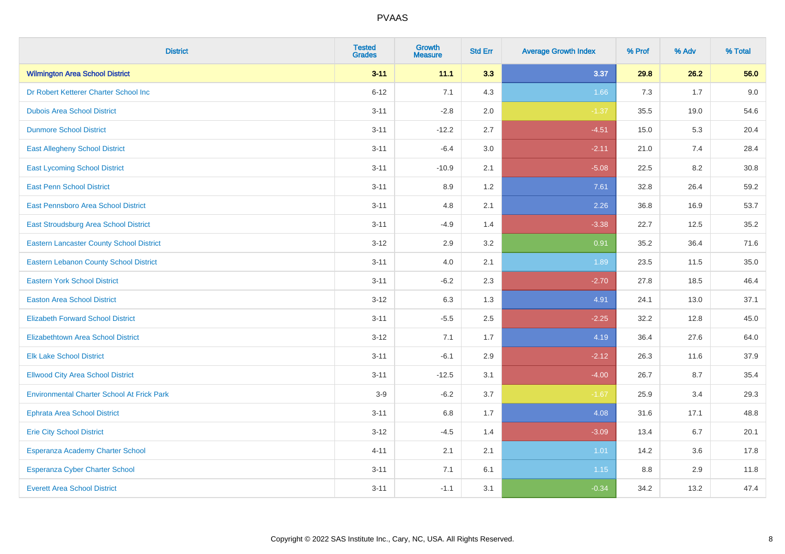| <b>District</b>                                   | <b>Tested</b><br><b>Grades</b> | <b>Growth</b><br><b>Measure</b> | <b>Std Err</b> | <b>Average Growth Index</b> | % Prof | % Adv | % Total |
|---------------------------------------------------|--------------------------------|---------------------------------|----------------|-----------------------------|--------|-------|---------|
| <b>Wilmington Area School District</b>            | $3 - 11$                       | 11.1                            | 3.3            | 3.37                        | 29.8   | 26.2  | 56.0    |
| Dr Robert Ketterer Charter School Inc             | $6 - 12$                       | 7.1                             | 4.3            | 1.66                        | 7.3    | 1.7   | 9.0     |
| <b>Dubois Area School District</b>                | $3 - 11$                       | $-2.8$                          | 2.0            | $-1.37$                     | 35.5   | 19.0  | 54.6    |
| <b>Dunmore School District</b>                    | $3 - 11$                       | $-12.2$                         | 2.7            | $-4.51$                     | 15.0   | 5.3   | 20.4    |
| <b>East Allegheny School District</b>             | $3 - 11$                       | $-6.4$                          | 3.0            | $-2.11$                     | 21.0   | 7.4   | 28.4    |
| <b>East Lycoming School District</b>              | $3 - 11$                       | $-10.9$                         | 2.1            | $-5.08$                     | 22.5   | 8.2   | 30.8    |
| <b>East Penn School District</b>                  | $3 - 11$                       | 8.9                             | 1.2            | 7.61                        | 32.8   | 26.4  | 59.2    |
| East Pennsboro Area School District               | $3 - 11$                       | 4.8                             | 2.1            | 2.26                        | 36.8   | 16.9  | 53.7    |
| East Stroudsburg Area School District             | $3 - 11$                       | $-4.9$                          | 1.4            | $-3.38$                     | 22.7   | 12.5  | 35.2    |
| <b>Eastern Lancaster County School District</b>   | $3 - 12$                       | 2.9                             | 3.2            | 0.91                        | 35.2   | 36.4  | 71.6    |
| Eastern Lebanon County School District            | $3 - 11$                       | 4.0                             | 2.1            | 1.89                        | 23.5   | 11.5  | 35.0    |
| <b>Eastern York School District</b>               | $3 - 11$                       | $-6.2$                          | 2.3            | $-2.70$                     | 27.8   | 18.5  | 46.4    |
| <b>Easton Area School District</b>                | $3 - 12$                       | 6.3                             | 1.3            | 4.91                        | 24.1   | 13.0  | 37.1    |
| <b>Elizabeth Forward School District</b>          | $3 - 11$                       | $-5.5$                          | 2.5            | $-2.25$                     | 32.2   | 12.8  | 45.0    |
| <b>Elizabethtown Area School District</b>         | $3 - 12$                       | 7.1                             | 1.7            | 4.19                        | 36.4   | 27.6  | 64.0    |
| <b>Elk Lake School District</b>                   | $3 - 11$                       | $-6.1$                          | 2.9            | $-2.12$                     | 26.3   | 11.6  | 37.9    |
| <b>Ellwood City Area School District</b>          | $3 - 11$                       | $-12.5$                         | 3.1            | $-4.00$                     | 26.7   | 8.7   | 35.4    |
| <b>Environmental Charter School At Frick Park</b> | $3-9$                          | $-6.2$                          | 3.7            | $-1.67$                     | 25.9   | 3.4   | 29.3    |
| <b>Ephrata Area School District</b>               | $3 - 11$                       | $6.8\,$                         | 1.7            | 4.08                        | 31.6   | 17.1  | 48.8    |
| <b>Erie City School District</b>                  | $3 - 12$                       | $-4.5$                          | 1.4            | $-3.09$                     | 13.4   | 6.7   | 20.1    |
| Esperanza Academy Charter School                  | $4 - 11$                       | 2.1                             | 2.1            | 1.01                        | 14.2   | 3.6   | 17.8    |
| <b>Esperanza Cyber Charter School</b>             | $3 - 11$                       | 7.1                             | 6.1            | $1.15$                      | 8.8    | 2.9   | 11.8    |
| <b>Everett Area School District</b>               | $3 - 11$                       | $-1.1$                          | 3.1            | $-0.34$                     | 34.2   | 13.2  | 47.4    |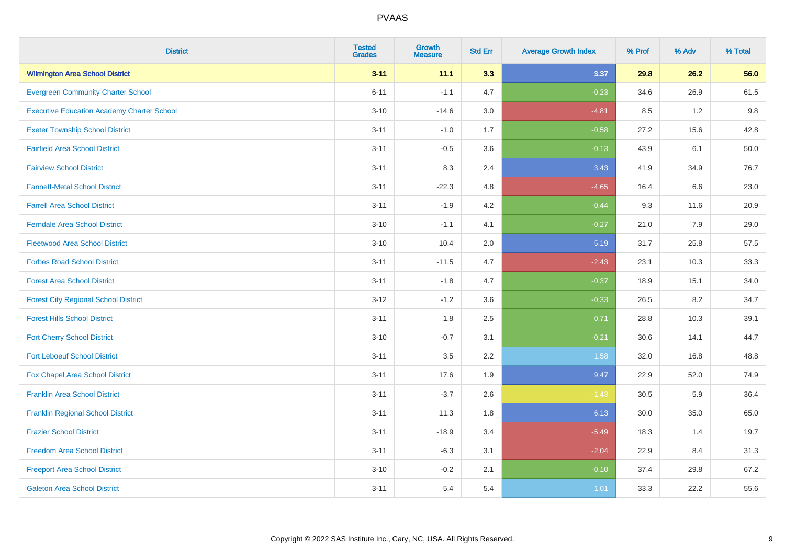| <b>District</b>                                   | <b>Tested</b><br><b>Grades</b> | <b>Growth</b><br><b>Measure</b> | <b>Std Err</b> | <b>Average Growth Index</b> | % Prof | % Adv   | % Total |
|---------------------------------------------------|--------------------------------|---------------------------------|----------------|-----------------------------|--------|---------|---------|
| <b>Wilmington Area School District</b>            | $3 - 11$                       | 11.1                            | 3.3            | 3.37                        | 29.8   | 26.2    | 56.0    |
| <b>Evergreen Community Charter School</b>         | $6 - 11$                       | $-1.1$                          | 4.7            | $-0.23$                     | 34.6   | 26.9    | 61.5    |
| <b>Executive Education Academy Charter School</b> | $3 - 10$                       | $-14.6$                         | 3.0            | $-4.81$                     | 8.5    | 1.2     | 9.8     |
| <b>Exeter Township School District</b>            | $3 - 11$                       | $-1.0$                          | 1.7            | $-0.58$                     | 27.2   | 15.6    | 42.8    |
| <b>Fairfield Area School District</b>             | $3 - 11$                       | $-0.5$                          | 3.6            | $-0.13$                     | 43.9   | 6.1     | 50.0    |
| <b>Fairview School District</b>                   | $3 - 11$                       | 8.3                             | 2.4            | 3.43                        | 41.9   | 34.9    | 76.7    |
| <b>Fannett-Metal School District</b>              | $3 - 11$                       | $-22.3$                         | 4.8            | $-4.65$                     | 16.4   | 6.6     | 23.0    |
| <b>Farrell Area School District</b>               | $3 - 11$                       | $-1.9$                          | 4.2            | $-0.44$                     | 9.3    | 11.6    | 20.9    |
| <b>Ferndale Area School District</b>              | $3 - 10$                       | $-1.1$                          | 4.1            | $-0.27$                     | 21.0   | 7.9     | 29.0    |
| <b>Fleetwood Area School District</b>             | $3 - 10$                       | 10.4                            | 2.0            | 5.19                        | 31.7   | 25.8    | 57.5    |
| <b>Forbes Road School District</b>                | $3 - 11$                       | $-11.5$                         | 4.7            | $-2.43$                     | 23.1   | 10.3    | 33.3    |
| <b>Forest Area School District</b>                | $3 - 11$                       | $-1.8$                          | 4.7            | $-0.37$                     | 18.9   | 15.1    | 34.0    |
| <b>Forest City Regional School District</b>       | $3 - 12$                       | $-1.2$                          | 3.6            | $-0.33$                     | 26.5   | $8.2\,$ | 34.7    |
| <b>Forest Hills School District</b>               | $3 - 11$                       | 1.8                             | 2.5            | 0.71                        | 28.8   | 10.3    | 39.1    |
| <b>Fort Cherry School District</b>                | $3 - 10$                       | $-0.7$                          | 3.1            | $-0.21$                     | 30.6   | 14.1    | 44.7    |
| <b>Fort Leboeuf School District</b>               | $3 - 11$                       | $3.5\,$                         | 2.2            | 1.58                        | 32.0   | 16.8    | 48.8    |
| Fox Chapel Area School District                   | $3 - 11$                       | 17.6                            | 1.9            | 9.47                        | 22.9   | 52.0    | 74.9    |
| <b>Franklin Area School District</b>              | $3 - 11$                       | $-3.7$                          | 2.6            | $-1.43$                     | 30.5   | 5.9     | 36.4    |
| <b>Franklin Regional School District</b>          | $3 - 11$                       | 11.3                            | 1.8            | 6.13                        | 30.0   | 35.0    | 65.0    |
| <b>Frazier School District</b>                    | $3 - 11$                       | $-18.9$                         | 3.4            | $-5.49$                     | 18.3   | 1.4     | 19.7    |
| <b>Freedom Area School District</b>               | $3 - 11$                       | $-6.3$                          | 3.1            | $-2.04$                     | 22.9   | 8.4     | 31.3    |
| <b>Freeport Area School District</b>              | $3 - 10$                       | $-0.2$                          | 2.1            | $-0.10$                     | 37.4   | 29.8    | 67.2    |
| <b>Galeton Area School District</b>               | $3 - 11$                       | 5.4                             | 5.4            | 1.01                        | 33.3   | 22.2    | 55.6    |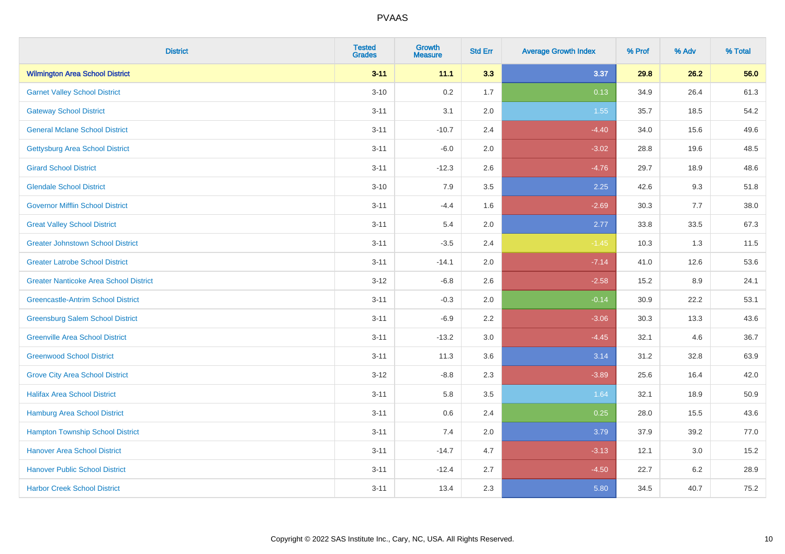| <b>District</b>                               | <b>Tested</b><br><b>Grades</b> | Growth<br><b>Measure</b> | <b>Std Err</b> | <b>Average Growth Index</b> | % Prof | % Adv   | % Total |
|-----------------------------------------------|--------------------------------|--------------------------|----------------|-----------------------------|--------|---------|---------|
| <b>Wilmington Area School District</b>        | $3 - 11$                       | 11.1                     | 3.3            | 3.37                        | 29.8   | 26.2    | 56.0    |
| <b>Garnet Valley School District</b>          | $3 - 10$                       | 0.2                      | 1.7            | 0.13                        | 34.9   | 26.4    | 61.3    |
| <b>Gateway School District</b>                | $3 - 11$                       | 3.1                      | 2.0            | 1.55                        | 35.7   | 18.5    | 54.2    |
| <b>General Mclane School District</b>         | $3 - 11$                       | $-10.7$                  | 2.4            | $-4.40$                     | 34.0   | 15.6    | 49.6    |
| <b>Gettysburg Area School District</b>        | $3 - 11$                       | $-6.0$                   | 2.0            | $-3.02$                     | 28.8   | 19.6    | 48.5    |
| <b>Girard School District</b>                 | $3 - 11$                       | $-12.3$                  | 2.6            | $-4.76$                     | 29.7   | 18.9    | 48.6    |
| <b>Glendale School District</b>               | $3 - 10$                       | 7.9                      | 3.5            | 2.25                        | 42.6   | 9.3     | 51.8    |
| <b>Governor Mifflin School District</b>       | $3 - 11$                       | $-4.4$                   | 1.6            | $-2.69$                     | 30.3   | $7.7$   | 38.0    |
| <b>Great Valley School District</b>           | $3 - 11$                       | 5.4                      | 2.0            | 2.77                        | 33.8   | 33.5    | 67.3    |
| <b>Greater Johnstown School District</b>      | $3 - 11$                       | $-3.5$                   | 2.4            | $-1.45$                     | 10.3   | 1.3     | 11.5    |
| <b>Greater Latrobe School District</b>        | $3 - 11$                       | $-14.1$                  | 2.0            | $-7.14$                     | 41.0   | 12.6    | 53.6    |
| <b>Greater Nanticoke Area School District</b> | $3-12$                         | $-6.8$                   | 2.6            | $-2.58$                     | 15.2   | 8.9     | 24.1    |
| <b>Greencastle-Antrim School District</b>     | $3 - 11$                       | $-0.3$                   | 2.0            | $-0.14$                     | 30.9   | 22.2    | 53.1    |
| <b>Greensburg Salem School District</b>       | $3 - 11$                       | $-6.9$                   | 2.2            | $-3.06$                     | 30.3   | 13.3    | 43.6    |
| <b>Greenville Area School District</b>        | $3 - 11$                       | $-13.2$                  | $3.0\,$        | $-4.45$                     | 32.1   | 4.6     | 36.7    |
| <b>Greenwood School District</b>              | $3 - 11$                       | 11.3                     | 3.6            | 3.14                        | 31.2   | 32.8    | 63.9    |
| <b>Grove City Area School District</b>        | $3 - 12$                       | $-8.8$                   | 2.3            | $-3.89$                     | 25.6   | 16.4    | 42.0    |
| <b>Halifax Area School District</b>           | $3 - 11$                       | 5.8                      | 3.5            | 1.64                        | 32.1   | 18.9    | 50.9    |
| <b>Hamburg Area School District</b>           | $3 - 11$                       | 0.6                      | 2.4            | 0.25                        | 28.0   | 15.5    | 43.6    |
| <b>Hampton Township School District</b>       | $3 - 11$                       | 7.4                      | 2.0            | 3.79                        | 37.9   | 39.2    | 77.0    |
| <b>Hanover Area School District</b>           | $3 - 11$                       | $-14.7$                  | 4.7            | $-3.13$                     | 12.1   | 3.0     | 15.2    |
| <b>Hanover Public School District</b>         | $3 - 11$                       | $-12.4$                  | 2.7            | $-4.50$                     | 22.7   | $6.2\,$ | 28.9    |
| <b>Harbor Creek School District</b>           | $3 - 11$                       | 13.4                     | 2.3            | 5.80                        | 34.5   | 40.7    | 75.2    |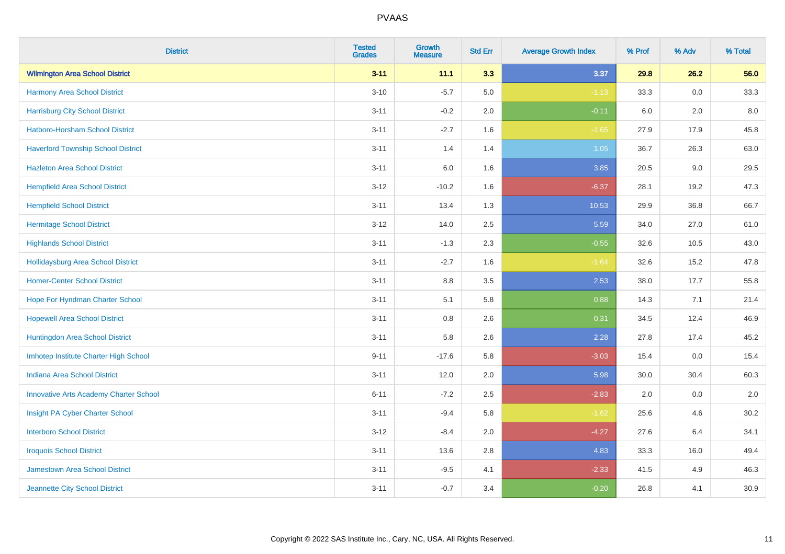| <b>District</b>                               | <b>Tested</b><br><b>Grades</b> | <b>Growth</b><br><b>Measure</b> | <b>Std Err</b> | <b>Average Growth Index</b> | % Prof | % Adv   | % Total |
|-----------------------------------------------|--------------------------------|---------------------------------|----------------|-----------------------------|--------|---------|---------|
| <b>Wilmington Area School District</b>        | $3 - 11$                       | 11.1                            | 3.3            | 3.37                        | 29.8   | 26.2    | 56.0    |
| Harmony Area School District                  | $3 - 10$                       | $-5.7$                          | 5.0            | $-1.13$                     | 33.3   | 0.0     | 33.3    |
| <b>Harrisburg City School District</b>        | $3 - 11$                       | $-0.2$                          | 2.0            | $-0.11$                     | 6.0    | 2.0     | 8.0     |
| Hatboro-Horsham School District               | $3 - 11$                       | $-2.7$                          | 1.6            | $-1.65$                     | 27.9   | 17.9    | 45.8    |
| <b>Haverford Township School District</b>     | $3 - 11$                       | 1.4                             | 1.4            | 1.05                        | 36.7   | 26.3    | 63.0    |
| <b>Hazleton Area School District</b>          | $3 - 11$                       | 6.0                             | 1.6            | 3.85                        | 20.5   | 9.0     | 29.5    |
| <b>Hempfield Area School District</b>         | $3 - 12$                       | $-10.2$                         | 1.6            | $-6.37$                     | 28.1   | 19.2    | 47.3    |
| <b>Hempfield School District</b>              | $3 - 11$                       | 13.4                            | 1.3            | 10.53                       | 29.9   | 36.8    | 66.7    |
| <b>Hermitage School District</b>              | $3 - 12$                       | 14.0                            | 2.5            | 5.59                        | 34.0   | 27.0    | 61.0    |
| <b>Highlands School District</b>              | $3 - 11$                       | $-1.3$                          | 2.3            | $-0.55$                     | 32.6   | 10.5    | 43.0    |
| <b>Hollidaysburg Area School District</b>     | $3 - 11$                       | $-2.7$                          | 1.6            | $-1.64$                     | 32.6   | 15.2    | 47.8    |
| <b>Homer-Center School District</b>           | $3 - 11$                       | 8.8                             | 3.5            | 2.53                        | 38.0   | 17.7    | 55.8    |
| Hope For Hyndman Charter School               | $3 - 11$                       | 5.1                             | 5.8            | 0.88                        | 14.3   | 7.1     | 21.4    |
| <b>Hopewell Area School District</b>          | $3 - 11$                       | 0.8                             | 2.6            | 0.31                        | 34.5   | 12.4    | 46.9    |
| Huntingdon Area School District               | $3 - 11$                       | 5.8                             | 2.6            | 2.28                        | 27.8   | 17.4    | 45.2    |
| Imhotep Institute Charter High School         | $9 - 11$                       | $-17.6$                         | 5.8            | $-3.03$                     | 15.4   | $0.0\,$ | 15.4    |
| <b>Indiana Area School District</b>           | $3 - 11$                       | 12.0                            | 2.0            | 5.98                        | 30.0   | 30.4    | 60.3    |
| <b>Innovative Arts Academy Charter School</b> | $6 - 11$                       | $-7.2$                          | 2.5            | $-2.83$                     | 2.0    | 0.0     | 2.0     |
| Insight PA Cyber Charter School               | $3 - 11$                       | $-9.4$                          | 5.8            | $-1.62$                     | 25.6   | 4.6     | 30.2    |
| <b>Interboro School District</b>              | $3 - 12$                       | $-8.4$                          | 2.0            | $-4.27$                     | 27.6   | 6.4     | 34.1    |
| <b>Iroquois School District</b>               | $3 - 11$                       | 13.6                            | 2.8            | 4.83                        | 33.3   | 16.0    | 49.4    |
| Jamestown Area School District                | $3 - 11$                       | $-9.5$                          | 4.1            | $-2.33$                     | 41.5   | 4.9     | 46.3    |
| Jeannette City School District                | $3 - 11$                       | $-0.7$                          | 3.4            | $-0.20$                     | 26.8   | 4.1     | 30.9    |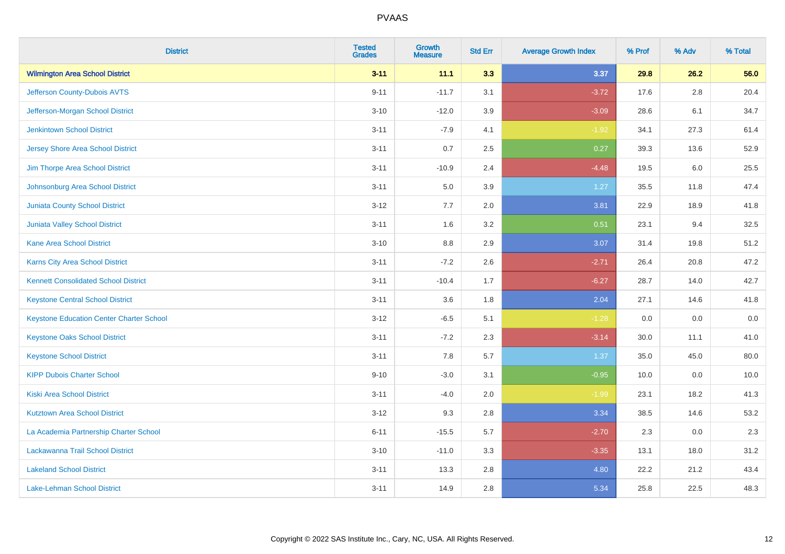| <b>District</b>                                 | <b>Tested</b><br><b>Grades</b> | <b>Growth</b><br><b>Measure</b> | <b>Std Err</b> | <b>Average Growth Index</b> | % Prof | % Adv   | % Total |
|-------------------------------------------------|--------------------------------|---------------------------------|----------------|-----------------------------|--------|---------|---------|
| <b>Wilmington Area School District</b>          | $3 - 11$                       | 11.1                            | 3.3            | 3.37                        | 29.8   | 26.2    | 56.0    |
| Jefferson County-Dubois AVTS                    | $9 - 11$                       | $-11.7$                         | 3.1            | $-3.72$                     | 17.6   | $2.8\,$ | 20.4    |
| Jefferson-Morgan School District                | $3 - 10$                       | $-12.0$                         | 3.9            | $-3.09$                     | 28.6   | 6.1     | 34.7    |
| <b>Jenkintown School District</b>               | $3 - 11$                       | $-7.9$                          | 4.1            | $-1.92$                     | 34.1   | 27.3    | 61.4    |
| <b>Jersey Shore Area School District</b>        | $3 - 11$                       | 0.7                             | 2.5            | 0.27                        | 39.3   | 13.6    | 52.9    |
| Jim Thorpe Area School District                 | $3 - 11$                       | $-10.9$                         | 2.4            | $-4.48$                     | 19.5   | 6.0     | 25.5    |
| Johnsonburg Area School District                | $3 - 11$                       | 5.0                             | 3.9            | 1.27                        | 35.5   | 11.8    | 47.4    |
| <b>Juniata County School District</b>           | $3 - 12$                       | 7.7                             | 2.0            | 3.81                        | 22.9   | 18.9    | 41.8    |
| <b>Juniata Valley School District</b>           | $3 - 11$                       | 1.6                             | 3.2            | 0.51                        | 23.1   | 9.4     | 32.5    |
| <b>Kane Area School District</b>                | $3 - 10$                       | 8.8                             | 2.9            | 3.07                        | 31.4   | 19.8    | 51.2    |
| <b>Karns City Area School District</b>          | $3 - 11$                       | $-7.2$                          | 2.6            | $-2.71$                     | 26.4   | 20.8    | 47.2    |
| <b>Kennett Consolidated School District</b>     | $3 - 11$                       | $-10.4$                         | 1.7            | $-6.27$                     | 28.7   | 14.0    | 42.7    |
| <b>Keystone Central School District</b>         | $3 - 11$                       | 3.6                             | 1.8            | 2.04                        | 27.1   | 14.6    | 41.8    |
| <b>Keystone Education Center Charter School</b> | $3 - 12$                       | $-6.5$                          | 5.1            | $-1.28$                     | 0.0    | 0.0     | $0.0\,$ |
| <b>Keystone Oaks School District</b>            | $3 - 11$                       | $-7.2$                          | 2.3            | $-3.14$                     | 30.0   | 11.1    | 41.0    |
| <b>Keystone School District</b>                 | $3 - 11$                       | 7.8                             | 5.7            | 1.37                        | 35.0   | 45.0    | 80.0    |
| <b>KIPP Dubois Charter School</b>               | $9 - 10$                       | $-3.0$                          | 3.1            | $-0.95$                     | 10.0   | 0.0     | 10.0    |
| Kiski Area School District                      | $3 - 11$                       | $-4.0$                          | 2.0            | $-1.99$                     | 23.1   | 18.2    | 41.3    |
| <b>Kutztown Area School District</b>            | $3 - 12$                       | 9.3                             | 2.8            | 3.34                        | 38.5   | 14.6    | 53.2    |
| La Academia Partnership Charter School          | $6 - 11$                       | $-15.5$                         | 5.7            | $-2.70$                     | 2.3    | 0.0     | 2.3     |
| Lackawanna Trail School District                | $3 - 10$                       | $-11.0$                         | 3.3            | $-3.35$                     | 13.1   | 18.0    | 31.2    |
| <b>Lakeland School District</b>                 | $3 - 11$                       | 13.3                            | 2.8            | 4.80                        | 22.2   | 21.2    | 43.4    |
| Lake-Lehman School District                     | $3 - 11$                       | 14.9                            | 2.8            | 5.34                        | 25.8   | 22.5    | 48.3    |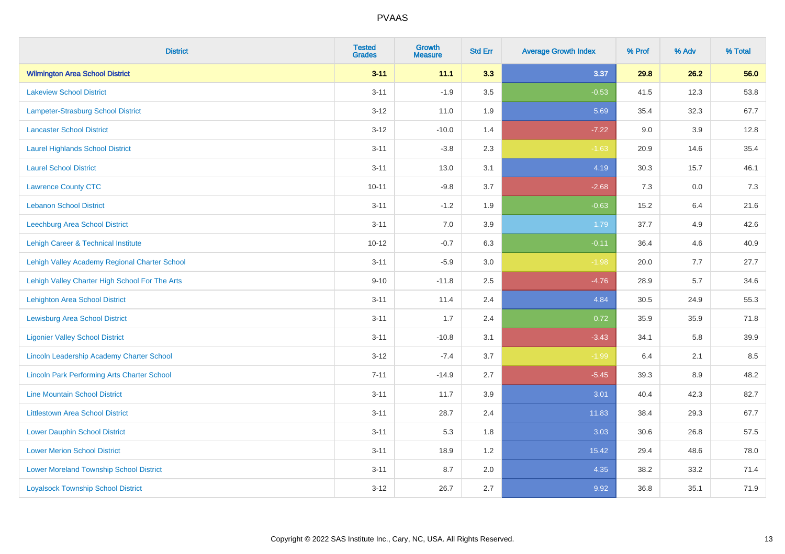| <b>District</b>                                    | <b>Tested</b><br><b>Grades</b> | <b>Growth</b><br><b>Measure</b> | <b>Std Err</b> | <b>Average Growth Index</b> | % Prof | % Adv | % Total |
|----------------------------------------------------|--------------------------------|---------------------------------|----------------|-----------------------------|--------|-------|---------|
| <b>Wilmington Area School District</b>             | $3 - 11$                       | 11.1                            | 3.3            | 3.37                        | 29.8   | 26.2  | 56.0    |
| <b>Lakeview School District</b>                    | $3 - 11$                       | $-1.9$                          | 3.5            | $-0.53$                     | 41.5   | 12.3  | 53.8    |
| <b>Lampeter-Strasburg School District</b>          | $3 - 12$                       | 11.0                            | 1.9            | 5.69                        | 35.4   | 32.3  | 67.7    |
| <b>Lancaster School District</b>                   | $3 - 12$                       | $-10.0$                         | 1.4            | $-7.22$                     | 9.0    | 3.9   | 12.8    |
| <b>Laurel Highlands School District</b>            | $3 - 11$                       | $-3.8$                          | 2.3            | $-1.63$                     | 20.9   | 14.6  | 35.4    |
| <b>Laurel School District</b>                      | $3 - 11$                       | 13.0                            | 3.1            | 4.19                        | 30.3   | 15.7  | 46.1    |
| <b>Lawrence County CTC</b>                         | $10 - 11$                      | $-9.8$                          | 3.7            | $-2.68$                     | 7.3    | 0.0   | 7.3     |
| <b>Lebanon School District</b>                     | $3 - 11$                       | $-1.2$                          | 1.9            | $-0.63$                     | 15.2   | 6.4   | 21.6    |
| Leechburg Area School District                     | $3 - 11$                       | 7.0                             | 3.9            | 1.79                        | 37.7   | 4.9   | 42.6    |
| Lehigh Career & Technical Institute                | $10 - 12$                      | $-0.7$                          | 6.3            | $-0.11$                     | 36.4   | 4.6   | 40.9    |
| Lehigh Valley Academy Regional Charter School      | $3 - 11$                       | $-5.9$                          | 3.0            | $-1.98$                     | 20.0   | 7.7   | 27.7    |
| Lehigh Valley Charter High School For The Arts     | $9 - 10$                       | $-11.8$                         | 2.5            | $-4.76$                     | 28.9   | 5.7   | 34.6    |
| <b>Lehighton Area School District</b>              | $3 - 11$                       | 11.4                            | 2.4            | 4.84                        | 30.5   | 24.9  | 55.3    |
| <b>Lewisburg Area School District</b>              | $3 - 11$                       | 1.7                             | 2.4            | 0.72                        | 35.9   | 35.9  | 71.8    |
| <b>Ligonier Valley School District</b>             | $3 - 11$                       | $-10.8$                         | 3.1            | $-3.43$                     | 34.1   | 5.8   | 39.9    |
| <b>Lincoln Leadership Academy Charter School</b>   | $3 - 12$                       | $-7.4$                          | 3.7            | $-1.99$                     | 6.4    | 2.1   | 8.5     |
| <b>Lincoln Park Performing Arts Charter School</b> | $7 - 11$                       | $-14.9$                         | 2.7            | $-5.45$                     | 39.3   | 8.9   | 48.2    |
| <b>Line Mountain School District</b>               | $3 - 11$                       | 11.7                            | 3.9            | 3.01                        | 40.4   | 42.3  | 82.7    |
| <b>Littlestown Area School District</b>            | $3 - 11$                       | 28.7                            | 2.4            | 11.83                       | 38.4   | 29.3  | 67.7    |
| <b>Lower Dauphin School District</b>               | $3 - 11$                       | 5.3                             | 1.8            | 3.03                        | 30.6   | 26.8  | 57.5    |
| <b>Lower Merion School District</b>                | $3 - 11$                       | 18.9                            | 1.2            | 15.42                       | 29.4   | 48.6  | 78.0    |
| <b>Lower Moreland Township School District</b>     | $3 - 11$                       | 8.7                             | 2.0            | 4.35                        | 38.2   | 33.2  | 71.4    |
| <b>Loyalsock Township School District</b>          | $3 - 12$                       | 26.7                            | 2.7            | 9.92                        | 36.8   | 35.1  | 71.9    |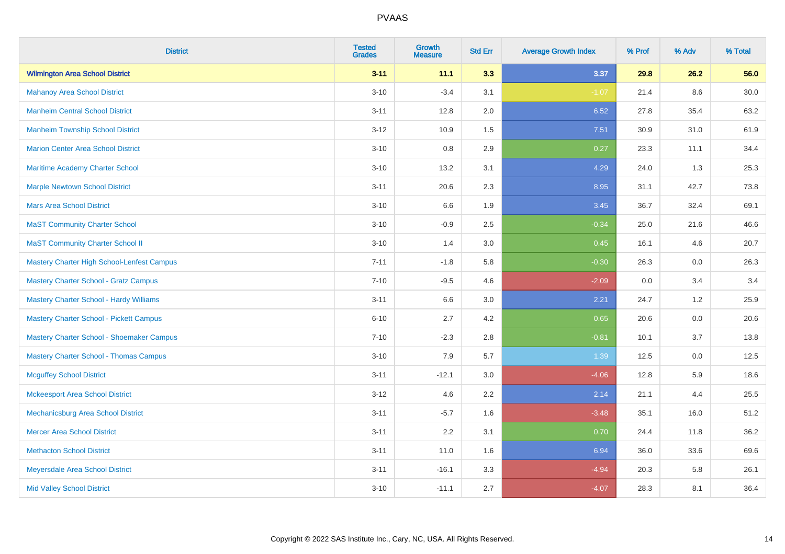| <b>District</b>                                | <b>Tested</b><br><b>Grades</b> | Growth<br><b>Measure</b> | <b>Std Err</b> | <b>Average Growth Index</b> | % Prof | % Adv | % Total |
|------------------------------------------------|--------------------------------|--------------------------|----------------|-----------------------------|--------|-------|---------|
| <b>Wilmington Area School District</b>         | $3 - 11$                       | 11.1                     | 3.3            | 3.37                        | 29.8   | 26.2  | 56.0    |
| <b>Mahanoy Area School District</b>            | $3 - 10$                       | $-3.4$                   | 3.1            | $-1.07$                     | 21.4   | 8.6   | 30.0    |
| <b>Manheim Central School District</b>         | $3 - 11$                       | 12.8                     | 2.0            | 6.52                        | 27.8   | 35.4  | 63.2    |
| <b>Manheim Township School District</b>        | $3 - 12$                       | 10.9                     | 1.5            | 7.51                        | 30.9   | 31.0  | 61.9    |
| <b>Marion Center Area School District</b>      | $3 - 10$                       | 0.8                      | 2.9            | 0.27                        | 23.3   | 11.1  | 34.4    |
| Maritime Academy Charter School                | $3 - 10$                       | 13.2                     | 3.1            | 4.29                        | 24.0   | 1.3   | 25.3    |
| <b>Marple Newtown School District</b>          | $3 - 11$                       | 20.6                     | 2.3            | 8.95                        | 31.1   | 42.7  | 73.8    |
| <b>Mars Area School District</b>               | $3 - 10$                       | 6.6                      | 1.9            | 3.45                        | 36.7   | 32.4  | 69.1    |
| <b>MaST Community Charter School</b>           | $3 - 10$                       | $-0.9$                   | 2.5            | $-0.34$                     | 25.0   | 21.6  | 46.6    |
| <b>MaST Community Charter School II</b>        | $3 - 10$                       | 1.4                      | 3.0            | 0.45                        | 16.1   | 4.6   | 20.7    |
| Mastery Charter High School-Lenfest Campus     | $7 - 11$                       | $-1.8$                   | 5.8            | $-0.30$                     | 26.3   | 0.0   | 26.3    |
| <b>Mastery Charter School - Gratz Campus</b>   | $7 - 10$                       | $-9.5$                   | 4.6            | $-2.09$                     | 0.0    | 3.4   | 3.4     |
| <b>Mastery Charter School - Hardy Williams</b> | $3 - 11$                       | 6.6                      | 3.0            | 2.21                        | 24.7   | 1.2   | 25.9    |
| <b>Mastery Charter School - Pickett Campus</b> | $6 - 10$                       | 2.7                      | 4.2            | 0.65                        | 20.6   | 0.0   | 20.6    |
| Mastery Charter School - Shoemaker Campus      | $7 - 10$                       | $-2.3$                   | 2.8            | $-0.81$                     | 10.1   | 3.7   | 13.8    |
| <b>Mastery Charter School - Thomas Campus</b>  | $3 - 10$                       | 7.9                      | 5.7            | 1.39                        | 12.5   | 0.0   | 12.5    |
| <b>Mcguffey School District</b>                | $3 - 11$                       | $-12.1$                  | 3.0            | $-4.06$                     | 12.8   | 5.9   | 18.6    |
| <b>Mckeesport Area School District</b>         | $3 - 12$                       | 4.6                      | 2.2            | 2.14                        | 21.1   | 4.4   | 25.5    |
| Mechanicsburg Area School District             | $3 - 11$                       | $-5.7$                   | 1.6            | $-3.48$                     | 35.1   | 16.0  | 51.2    |
| <b>Mercer Area School District</b>             | $3 - 11$                       | 2.2                      | 3.1            | 0.70                        | 24.4   | 11.8  | 36.2    |
| <b>Methacton School District</b>               | $3 - 11$                       | 11.0                     | 1.6            | 6.94                        | 36.0   | 33.6  | 69.6    |
| Meyersdale Area School District                | $3 - 11$                       | $-16.1$                  | 3.3            | $-4.94$                     | 20.3   | 5.8   | 26.1    |
| <b>Mid Valley School District</b>              | $3 - 10$                       | $-11.1$                  | 2.7            | $-4.07$                     | 28.3   | 8.1   | 36.4    |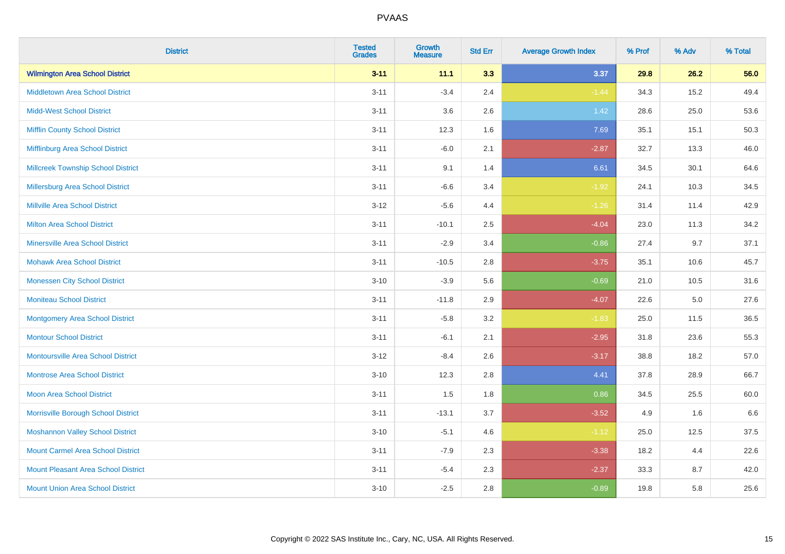| <b>District</b>                            | <b>Tested</b><br><b>Grades</b> | <b>Growth</b><br><b>Measure</b> | <b>Std Err</b> | <b>Average Growth Index</b> | % Prof | % Adv | % Total |
|--------------------------------------------|--------------------------------|---------------------------------|----------------|-----------------------------|--------|-------|---------|
| <b>Wilmington Area School District</b>     | $3 - 11$                       | 11.1                            | 3.3            | 3.37                        | 29.8   | 26.2  | 56.0    |
| <b>Middletown Area School District</b>     | $3 - 11$                       | $-3.4$                          | 2.4            | $-1.44$                     | 34.3   | 15.2  | 49.4    |
| <b>Midd-West School District</b>           | $3 - 11$                       | 3.6                             | 2.6            | $1.42$                      | 28.6   | 25.0  | 53.6    |
| <b>Mifflin County School District</b>      | $3 - 11$                       | 12.3                            | 1.6            | 7.69                        | 35.1   | 15.1  | 50.3    |
| Mifflinburg Area School District           | $3 - 11$                       | $-6.0$                          | 2.1            | $-2.87$                     | 32.7   | 13.3  | 46.0    |
| <b>Millcreek Township School District</b>  | $3 - 11$                       | 9.1                             | 1.4            | 6.61                        | 34.5   | 30.1  | 64.6    |
| <b>Millersburg Area School District</b>    | $3 - 11$                       | $-6.6$                          | 3.4            | $-1.92$                     | 24.1   | 10.3  | 34.5    |
| <b>Millville Area School District</b>      | $3-12$                         | $-5.6$                          | 4.4            | $-1.26$                     | 31.4   | 11.4  | 42.9    |
| Milton Area School District                | $3 - 11$                       | $-10.1$                         | 2.5            | $-4.04$                     | 23.0   | 11.3  | 34.2    |
| <b>Minersville Area School District</b>    | $3 - 11$                       | $-2.9$                          | 3.4            | $-0.86$                     | 27.4   | 9.7   | 37.1    |
| <b>Mohawk Area School District</b>         | $3 - 11$                       | $-10.5$                         | 2.8            | $-3.75$                     | 35.1   | 10.6  | 45.7    |
| <b>Monessen City School District</b>       | $3 - 10$                       | $-3.9$                          | 5.6            | $-0.69$                     | 21.0   | 10.5  | 31.6    |
| <b>Moniteau School District</b>            | $3 - 11$                       | $-11.8$                         | 2.9            | $-4.07$                     | 22.6   | 5.0   | 27.6    |
| <b>Montgomery Area School District</b>     | $3 - 11$                       | $-5.8$                          | 3.2            | $-1.83$                     | 25.0   | 11.5  | 36.5    |
| <b>Montour School District</b>             | $3 - 11$                       | $-6.1$                          | 2.1            | $-2.95$                     | 31.8   | 23.6  | 55.3    |
| <b>Montoursville Area School District</b>  | $3 - 12$                       | $-8.4$                          | 2.6            | $-3.17$                     | 38.8   | 18.2  | 57.0    |
| <b>Montrose Area School District</b>       | $3 - 10$                       | 12.3                            | 2.8            | 4.41                        | 37.8   | 28.9  | 66.7    |
| <b>Moon Area School District</b>           | $3 - 11$                       | 1.5                             | 1.8            | 0.86                        | 34.5   | 25.5  | 60.0    |
| Morrisville Borough School District        | $3 - 11$                       | $-13.1$                         | 3.7            | $-3.52$                     | 4.9    | 1.6   | 6.6     |
| <b>Moshannon Valley School District</b>    | $3 - 10$                       | $-5.1$                          | 4.6            | $-1.12$                     | 25.0   | 12.5  | 37.5    |
| <b>Mount Carmel Area School District</b>   | $3 - 11$                       | $-7.9$                          | 2.3            | $-3.38$                     | 18.2   | 4.4   | 22.6    |
| <b>Mount Pleasant Area School District</b> | $3 - 11$                       | $-5.4$                          | 2.3            | $-2.37$                     | 33.3   | 8.7   | 42.0    |
| <b>Mount Union Area School District</b>    | $3 - 10$                       | $-2.5$                          | 2.8            | $-0.89$                     | 19.8   | 5.8   | 25.6    |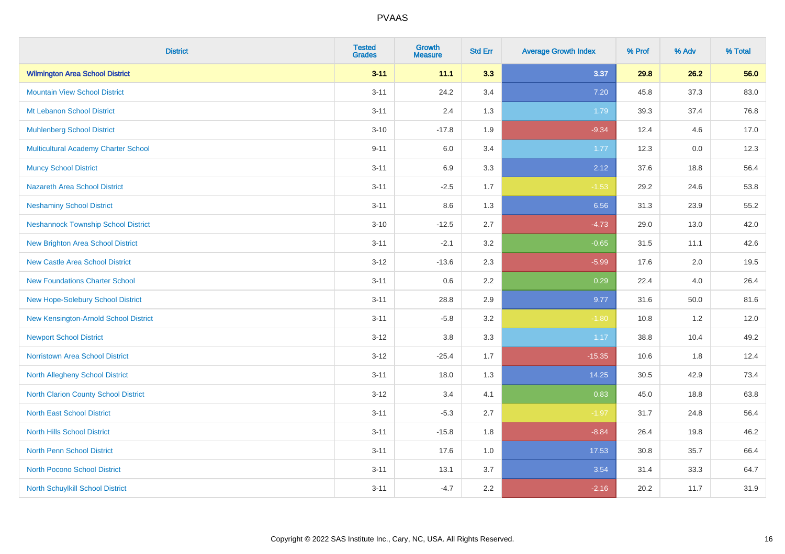| <b>District</b>                            | <b>Tested</b><br><b>Grades</b> | <b>Growth</b><br><b>Measure</b> | <b>Std Err</b> | <b>Average Growth Index</b> | % Prof | % Adv    | % Total |
|--------------------------------------------|--------------------------------|---------------------------------|----------------|-----------------------------|--------|----------|---------|
| <b>Wilmington Area School District</b>     | $3 - 11$                       | 11.1                            | 3.3            | 3.37                        | 29.8   | 26.2     | 56.0    |
| <b>Mountain View School District</b>       | $3 - 11$                       | 24.2                            | 3.4            | 7.20                        | 45.8   | 37.3     | 83.0    |
| Mt Lebanon School District                 | $3 - 11$                       | 2.4                             | 1.3            | 1.79                        | 39.3   | 37.4     | 76.8    |
| <b>Muhlenberg School District</b>          | $3 - 10$                       | $-17.8$                         | 1.9            | $-9.34$                     | 12.4   | 4.6      | 17.0    |
| Multicultural Academy Charter School       | $9 - 11$                       | 6.0                             | 3.4            | 1.77                        | 12.3   | 0.0      | 12.3    |
| <b>Muncy School District</b>               | $3 - 11$                       | 6.9                             | 3.3            | 2.12                        | 37.6   | 18.8     | 56.4    |
| <b>Nazareth Area School District</b>       | $3 - 11$                       | $-2.5$                          | 1.7            | $-1.53$                     | 29.2   | 24.6     | 53.8    |
| <b>Neshaminy School District</b>           | $3 - 11$                       | 8.6                             | 1.3            | 6.56                        | 31.3   | 23.9     | 55.2    |
| <b>Neshannock Township School District</b> | $3 - 10$                       | $-12.5$                         | 2.7            | $-4.73$                     | 29.0   | 13.0     | 42.0    |
| <b>New Brighton Area School District</b>   | $3 - 11$                       | $-2.1$                          | 3.2            | $-0.65$                     | 31.5   | 11.1     | 42.6    |
| <b>New Castle Area School District</b>     | $3 - 12$                       | $-13.6$                         | 2.3            | $-5.99$                     | 17.6   | 2.0      | 19.5    |
| <b>New Foundations Charter School</b>      | $3 - 11$                       | 0.6                             | 2.2            | 0.29                        | 22.4   | 4.0      | 26.4    |
| New Hope-Solebury School District          | $3 - 11$                       | 28.8                            | 2.9            | 9.77                        | 31.6   | $50.0\,$ | 81.6    |
| New Kensington-Arnold School District      | $3 - 11$                       | $-5.8$                          | 3.2            | $-1.80$                     | 10.8   | 1.2      | 12.0    |
| <b>Newport School District</b>             | $3-12$                         | $3.8\,$                         | 3.3            | 1.17                        | 38.8   | 10.4     | 49.2    |
| <b>Norristown Area School District</b>     | $3 - 12$                       | $-25.4$                         | 1.7            | $-15.35$                    | 10.6   | 1.8      | 12.4    |
| North Allegheny School District            | $3 - 11$                       | 18.0                            | 1.3            | 14.25                       | 30.5   | 42.9     | 73.4    |
| North Clarion County School District       | $3-12$                         | 3.4                             | 4.1            | 0.83                        | 45.0   | 18.8     | 63.8    |
| <b>North East School District</b>          | $3 - 11$                       | $-5.3$                          | 2.7            | $-1.97$                     | 31.7   | 24.8     | 56.4    |
| <b>North Hills School District</b>         | $3 - 11$                       | $-15.8$                         | 1.8            | $-8.84$                     | 26.4   | 19.8     | 46.2    |
| <b>North Penn School District</b>          | $3 - 11$                       | 17.6                            | 1.0            | 17.53                       | 30.8   | 35.7     | 66.4    |
| <b>North Pocono School District</b>        | $3 - 11$                       | 13.1                            | 3.7            | 3.54                        | 31.4   | 33.3     | 64.7    |
| North Schuylkill School District           | $3 - 11$                       | $-4.7$                          | 2.2            | $-2.16$                     | 20.2   | 11.7     | 31.9    |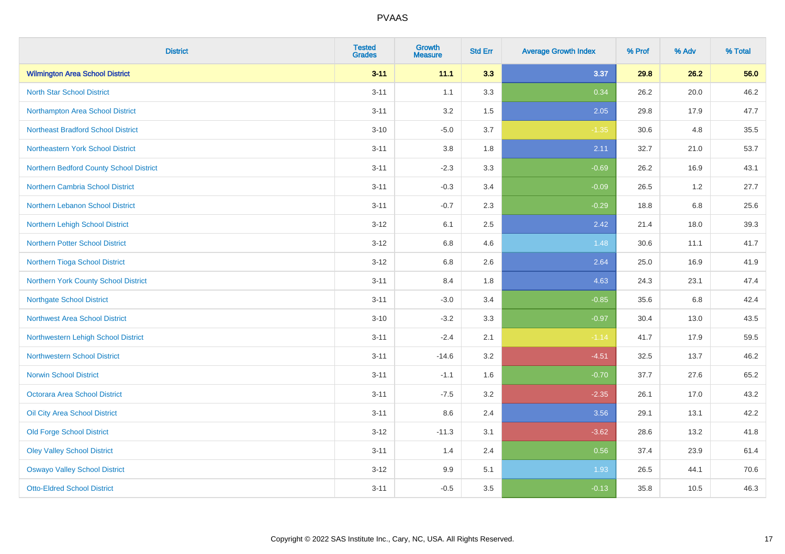| <b>District</b>                           | <b>Tested</b><br><b>Grades</b> | <b>Growth</b><br><b>Measure</b> | <b>Std Err</b> | <b>Average Growth Index</b> | % Prof | % Adv   | % Total |
|-------------------------------------------|--------------------------------|---------------------------------|----------------|-----------------------------|--------|---------|---------|
| <b>Wilmington Area School District</b>    | $3 - 11$                       | 11.1                            | 3.3            | 3.37                        | 29.8   | 26.2    | 56.0    |
| <b>North Star School District</b>         | $3 - 11$                       | 1.1                             | 3.3            | 0.34                        | 26.2   | 20.0    | 46.2    |
| Northampton Area School District          | $3 - 11$                       | 3.2                             | 1.5            | 2.05                        | 29.8   | 17.9    | 47.7    |
| <b>Northeast Bradford School District</b> | $3 - 10$                       | $-5.0$                          | 3.7            | $-1.35$                     | 30.6   | 4.8     | 35.5    |
| Northeastern York School District         | $3 - 11$                       | $3.8\,$                         | 1.8            | 2.11                        | 32.7   | 21.0    | 53.7    |
| Northern Bedford County School District   | $3 - 11$                       | $-2.3$                          | 3.3            | $-0.69$                     | 26.2   | 16.9    | 43.1    |
| Northern Cambria School District          | $3 - 11$                       | $-0.3$                          | 3.4            | $-0.09$                     | 26.5   | 1.2     | 27.7    |
| Northern Lebanon School District          | $3 - 11$                       | $-0.7$                          | 2.3            | $-0.29$                     | 18.8   | 6.8     | 25.6    |
| Northern Lehigh School District           | $3 - 12$                       | 6.1                             | 2.5            | 2.42                        | 21.4   | 18.0    | 39.3    |
| Northern Potter School District           | $3 - 12$                       | 6.8                             | 4.6            | 1.48                        | 30.6   | 11.1    | 41.7    |
| Northern Tioga School District            | $3 - 12$                       | 6.8                             | 2.6            | 2.64                        | 25.0   | 16.9    | 41.9    |
| Northern York County School District      | $3 - 11$                       | 8.4                             | 1.8            | 4.63                        | 24.3   | 23.1    | 47.4    |
| <b>Northgate School District</b>          | $3 - 11$                       | $-3.0$                          | 3.4            | $-0.85$                     | 35.6   | $6.8\,$ | 42.4    |
| Northwest Area School District            | $3 - 10$                       | $-3.2$                          | 3.3            | $-0.97$                     | 30.4   | 13.0    | 43.5    |
| Northwestern Lehigh School District       | $3 - 11$                       | $-2.4$                          | 2.1            | $-1.14$                     | 41.7   | 17.9    | 59.5    |
| <b>Northwestern School District</b>       | $3 - 11$                       | $-14.6$                         | 3.2            | $-4.51$                     | 32.5   | 13.7    | 46.2    |
| <b>Norwin School District</b>             | $3 - 11$                       | $-1.1$                          | 1.6            | $-0.70$                     | 37.7   | 27.6    | 65.2    |
| <b>Octorara Area School District</b>      | $3 - 11$                       | $-7.5$                          | 3.2            | $-2.35$                     | 26.1   | 17.0    | 43.2    |
| Oil City Area School District             | $3 - 11$                       | 8.6                             | 2.4            | 3.56                        | 29.1   | 13.1    | 42.2    |
| <b>Old Forge School District</b>          | $3 - 12$                       | $-11.3$                         | 3.1            | $-3.62$                     | 28.6   | 13.2    | 41.8    |
| <b>Oley Valley School District</b>        | $3 - 11$                       | 1.4                             | 2.4            | 0.56                        | 37.4   | 23.9    | 61.4    |
| <b>Oswayo Valley School District</b>      | $3 - 12$                       | 9.9                             | 5.1            | 1.93                        | 26.5   | 44.1    | 70.6    |
| <b>Otto-Eldred School District</b>        | $3 - 11$                       | $-0.5$                          | 3.5            | $-0.13$                     | 35.8   | 10.5    | 46.3    |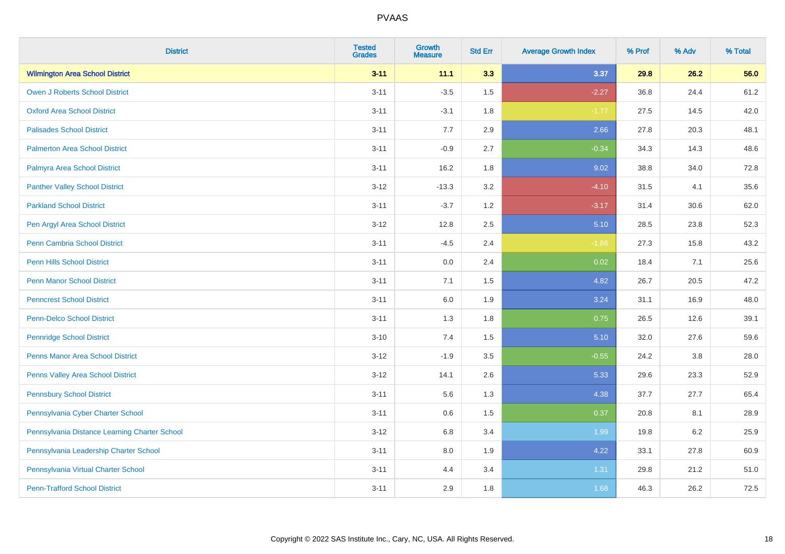| <b>District</b>                               | <b>Tested</b><br><b>Grades</b> | <b>Growth</b><br><b>Measure</b> | <b>Std Err</b> | <b>Average Growth Index</b> | % Prof | % Adv   | % Total |
|-----------------------------------------------|--------------------------------|---------------------------------|----------------|-----------------------------|--------|---------|---------|
| <b>Wilmington Area School District</b>        | $3 - 11$                       | 11.1                            | 3.3            | 3.37                        | 29.8   | 26.2    | 56.0    |
| <b>Owen J Roberts School District</b>         | $3 - 11$                       | $-3.5$                          | 1.5            | $-2.27$                     | 36.8   | 24.4    | 61.2    |
| <b>Oxford Area School District</b>            | $3 - 11$                       | $-3.1$                          | 1.8            | $-1.77$                     | 27.5   | 14.5    | 42.0    |
| <b>Palisades School District</b>              | $3 - 11$                       | 7.7                             | 2.9            | 2.66                        | 27.8   | 20.3    | 48.1    |
| <b>Palmerton Area School District</b>         | $3 - 11$                       | $-0.9$                          | 2.7            | $-0.34$                     | 34.3   | 14.3    | 48.6    |
| Palmyra Area School District                  | $3 - 11$                       | 16.2                            | 1.8            | 9.02                        | 38.8   | 34.0    | 72.8    |
| <b>Panther Valley School District</b>         | $3 - 12$                       | $-13.3$                         | 3.2            | $-4.10$                     | 31.5   | 4.1     | 35.6    |
| <b>Parkland School District</b>               | $3 - 11$                       | $-3.7$                          | 1.2            | $-3.17$                     | 31.4   | 30.6    | 62.0    |
| Pen Argyl Area School District                | $3 - 12$                       | 12.8                            | 2.5            | 5.10                        | 28.5   | 23.8    | 52.3    |
| Penn Cambria School District                  | $3 - 11$                       | $-4.5$                          | 2.4            | $-1.86$                     | 27.3   | 15.8    | 43.2    |
| <b>Penn Hills School District</b>             | $3 - 11$                       | 0.0                             | 2.4            | 0.02                        | 18.4   | 7.1     | 25.6    |
| <b>Penn Manor School District</b>             | $3 - 11$                       | 7.1                             | 1.5            | 4.82                        | 26.7   | 20.5    | 47.2    |
| <b>Penncrest School District</b>              | $3 - 11$                       | 6.0                             | 1.9            | 3.24                        | 31.1   | 16.9    | 48.0    |
| <b>Penn-Delco School District</b>             | $3 - 11$                       | 1.3                             | 1.8            | 0.75                        | 26.5   | 12.6    | 39.1    |
| <b>Pennridge School District</b>              | $3 - 10$                       | 7.4                             | 1.5            | 5.10                        | 32.0   | 27.6    | 59.6    |
| <b>Penns Manor Area School District</b>       | $3 - 12$                       | $-1.9$                          | $3.5\,$        | $-0.55$                     | 24.2   | $3.8\,$ | 28.0    |
| Penns Valley Area School District             | $3 - 12$                       | 14.1                            | 2.6            | 5.33                        | 29.6   | 23.3    | 52.9    |
| <b>Pennsbury School District</b>              | $3 - 11$                       | 5.6                             | 1.3            | 4.38                        | 37.7   | 27.7    | 65.4    |
| Pennsylvania Cyber Charter School             | $3 - 11$                       | 0.6                             | 1.5            | 0.37                        | 20.8   | 8.1     | 28.9    |
| Pennsylvania Distance Learning Charter School | $3 - 12$                       | 6.8                             | 3.4            | 1.99                        | 19.8   | 6.2     | 25.9    |
| Pennsylvania Leadership Charter School        | $3 - 11$                       | 8.0                             | 1.9            | 4.22                        | 33.1   | 27.8    | 60.9    |
| Pennsylvania Virtual Charter School           | $3 - 11$                       | 4.4                             | 3.4            | 1.31                        | 29.8   | 21.2    | 51.0    |
| <b>Penn-Trafford School District</b>          | $3 - 11$                       | 2.9                             | 1.8            | 1.68                        | 46.3   | 26.2    | 72.5    |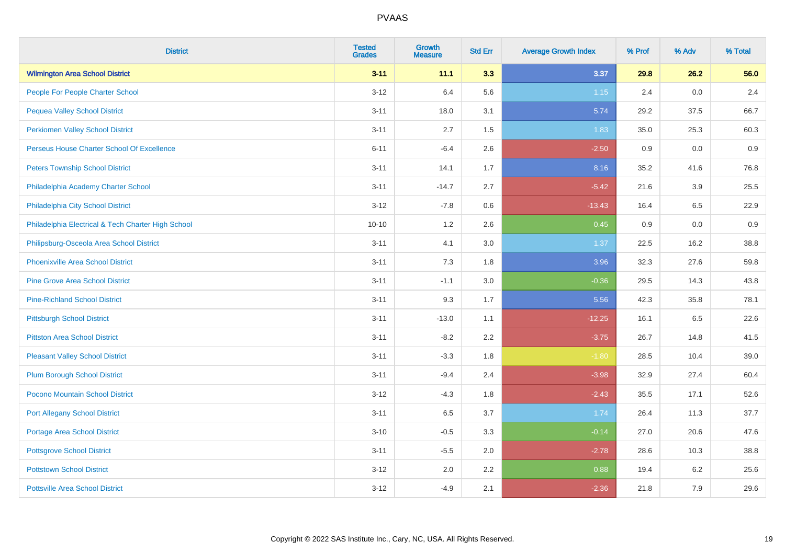| <b>District</b>                                    | <b>Tested</b><br><b>Grades</b> | <b>Growth</b><br><b>Measure</b> | <b>Std Err</b> | <b>Average Growth Index</b> | % Prof | % Adv | % Total |
|----------------------------------------------------|--------------------------------|---------------------------------|----------------|-----------------------------|--------|-------|---------|
| <b>Wilmington Area School District</b>             | $3 - 11$                       | 11.1                            | 3.3            | 3.37                        | 29.8   | 26.2  | 56.0    |
| People For People Charter School                   | $3 - 12$                       | 6.4                             | 5.6            | $1.15$                      | 2.4    | 0.0   | 2.4     |
| <b>Pequea Valley School District</b>               | $3 - 11$                       | 18.0                            | 3.1            | 5.74                        | 29.2   | 37.5  | 66.7    |
| <b>Perkiomen Valley School District</b>            | $3 - 11$                       | 2.7                             | 1.5            | 1.83                        | 35.0   | 25.3  | 60.3    |
| Perseus House Charter School Of Excellence         | $6 - 11$                       | $-6.4$                          | 2.6            | $-2.50$                     | 0.9    | 0.0   | 0.9     |
| <b>Peters Township School District</b>             | $3 - 11$                       | 14.1                            | 1.7            | 8.16                        | 35.2   | 41.6  | 76.8    |
| Philadelphia Academy Charter School                | $3 - 11$                       | $-14.7$                         | 2.7            | $-5.42$                     | 21.6   | 3.9   | 25.5    |
| Philadelphia City School District                  | $3 - 12$                       | $-7.8$                          | 0.6            | $-13.43$                    | 16.4   | 6.5   | 22.9    |
| Philadelphia Electrical & Tech Charter High School | $10 - 10$                      | 1.2                             | 2.6            | 0.45                        | 0.9    | 0.0   | 0.9     |
| Philipsburg-Osceola Area School District           | $3 - 11$                       | 4.1                             | 3.0            | 1.37                        | 22.5   | 16.2  | 38.8    |
| <b>Phoenixville Area School District</b>           | $3 - 11$                       | 7.3                             | 1.8            | 3.96                        | 32.3   | 27.6  | 59.8    |
| <b>Pine Grove Area School District</b>             | $3 - 11$                       | $-1.1$                          | 3.0            | $-0.36$                     | 29.5   | 14.3  | 43.8    |
| <b>Pine-Richland School District</b>               | $3 - 11$                       | 9.3                             | 1.7            | 5.56                        | 42.3   | 35.8  | 78.1    |
| <b>Pittsburgh School District</b>                  | $3 - 11$                       | $-13.0$                         | 1.1            | $-12.25$                    | 16.1   | 6.5   | 22.6    |
| <b>Pittston Area School District</b>               | $3 - 11$                       | $-8.2$                          | 2.2            | $-3.75$                     | 26.7   | 14.8  | 41.5    |
| <b>Pleasant Valley School District</b>             | $3 - 11$                       | $-3.3$                          | 1.8            | $-1.80$                     | 28.5   | 10.4  | 39.0    |
| <b>Plum Borough School District</b>                | $3 - 11$                       | $-9.4$                          | 2.4            | $-3.98$                     | 32.9   | 27.4  | 60.4    |
| Pocono Mountain School District                    | $3 - 12$                       | $-4.3$                          | 1.8            | $-2.43$                     | 35.5   | 17.1  | 52.6    |
| <b>Port Allegany School District</b>               | $3 - 11$                       | 6.5                             | 3.7            | 1.74                        | 26.4   | 11.3  | 37.7    |
| <b>Portage Area School District</b>                | $3 - 10$                       | $-0.5$                          | 3.3            | $-0.14$                     | 27.0   | 20.6  | 47.6    |
| <b>Pottsgrove School District</b>                  | $3 - 11$                       | $-5.5$                          | 2.0            | $-2.78$                     | 28.6   | 10.3  | 38.8    |
| <b>Pottstown School District</b>                   | $3 - 12$                       | 2.0                             | 2.2            | 0.88                        | 19.4   | 6.2   | 25.6    |
| <b>Pottsville Area School District</b>             | $3 - 12$                       | $-4.9$                          | 2.1            | $-2.36$                     | 21.8   | 7.9   | 29.6    |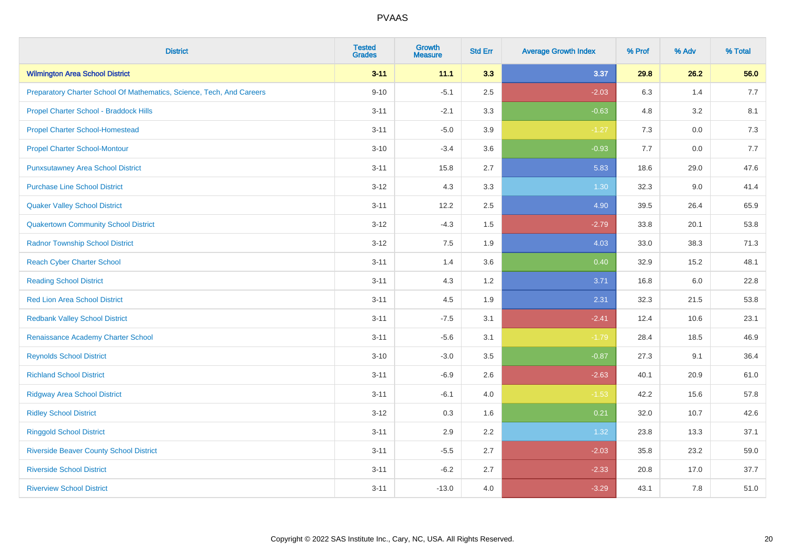| <b>District</b>                                                       | <b>Tested</b><br><b>Grades</b> | <b>Growth</b><br><b>Measure</b> | <b>Std Err</b> | <b>Average Growth Index</b> | % Prof | % Adv   | % Total |
|-----------------------------------------------------------------------|--------------------------------|---------------------------------|----------------|-----------------------------|--------|---------|---------|
| <b>Wilmington Area School District</b>                                | $3 - 11$                       | 11.1                            | 3.3            | 3.37                        | 29.8   | 26.2    | 56.0    |
| Preparatory Charter School Of Mathematics, Science, Tech, And Careers | $9 - 10$                       | $-5.1$                          | 2.5            | $-2.03$                     | 6.3    | 1.4     | 7.7     |
| Propel Charter School - Braddock Hills                                | $3 - 11$                       | $-2.1$                          | 3.3            | $-0.63$                     | 4.8    | 3.2     | 8.1     |
| <b>Propel Charter School-Homestead</b>                                | $3 - 11$                       | $-5.0$                          | 3.9            | $-1.27$                     | 7.3    | $0.0\,$ | 7.3     |
| <b>Propel Charter School-Montour</b>                                  | $3 - 10$                       | $-3.4$                          | 3.6            | $-0.93$                     | 7.7    | 0.0     | 7.7     |
| <b>Punxsutawney Area School District</b>                              | $3 - 11$                       | 15.8                            | 2.7            | 5.83                        | 18.6   | 29.0    | 47.6    |
| <b>Purchase Line School District</b>                                  | $3 - 12$                       | 4.3                             | 3.3            | 1.30                        | 32.3   | 9.0     | 41.4    |
| <b>Quaker Valley School District</b>                                  | $3 - 11$                       | 12.2                            | 2.5            | 4.90                        | 39.5   | 26.4    | 65.9    |
| <b>Quakertown Community School District</b>                           | $3 - 12$                       | $-4.3$                          | 1.5            | $-2.79$                     | 33.8   | 20.1    | 53.8    |
| <b>Radnor Township School District</b>                                | $3 - 12$                       | 7.5                             | 1.9            | 4.03                        | 33.0   | 38.3    | 71.3    |
| <b>Reach Cyber Charter School</b>                                     | $3 - 11$                       | 1.4                             | 3.6            | 0.40                        | 32.9   | 15.2    | 48.1    |
| <b>Reading School District</b>                                        | $3 - 11$                       | 4.3                             | 1.2            | 3.71                        | 16.8   | 6.0     | 22.8    |
| <b>Red Lion Area School District</b>                                  | $3 - 11$                       | 4.5                             | 1.9            | 2.31                        | 32.3   | 21.5    | 53.8    |
| <b>Redbank Valley School District</b>                                 | $3 - 11$                       | $-7.5$                          | 3.1            | $-2.41$                     | 12.4   | 10.6    | 23.1    |
| Renaissance Academy Charter School                                    | $3 - 11$                       | $-5.6$                          | 3.1            | $-1.79$                     | 28.4   | 18.5    | 46.9    |
| <b>Reynolds School District</b>                                       | $3 - 10$                       | $-3.0$                          | 3.5            | $-0.87$                     | 27.3   | 9.1     | 36.4    |
| <b>Richland School District</b>                                       | $3 - 11$                       | $-6.9$                          | 2.6            | $-2.63$                     | 40.1   | 20.9    | 61.0    |
| <b>Ridgway Area School District</b>                                   | $3 - 11$                       | $-6.1$                          | 4.0            | $-1.53$                     | 42.2   | 15.6    | 57.8    |
| <b>Ridley School District</b>                                         | $3 - 12$                       | 0.3                             | 1.6            | 0.21                        | 32.0   | 10.7    | 42.6    |
| <b>Ringgold School District</b>                                       | $3 - 11$                       | 2.9                             | 2.2            | 1.32                        | 23.8   | 13.3    | 37.1    |
| <b>Riverside Beaver County School District</b>                        | $3 - 11$                       | $-5.5$                          | 2.7            | $-2.03$                     | 35.8   | 23.2    | 59.0    |
| <b>Riverside School District</b>                                      | $3 - 11$                       | $-6.2$                          | 2.7            | $-2.33$                     | 20.8   | 17.0    | 37.7    |
| <b>Riverview School District</b>                                      | $3 - 11$                       | $-13.0$                         | 4.0            | $-3.29$                     | 43.1   | 7.8     | 51.0    |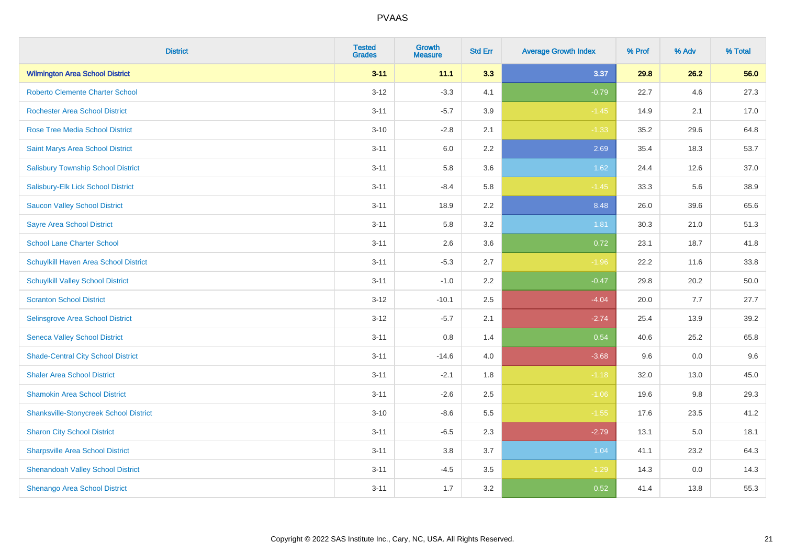| <b>District</b>                               | <b>Tested</b><br><b>Grades</b> | <b>Growth</b><br><b>Measure</b> | <b>Std Err</b> | <b>Average Growth Index</b> | % Prof | % Adv   | % Total |
|-----------------------------------------------|--------------------------------|---------------------------------|----------------|-----------------------------|--------|---------|---------|
| <b>Wilmington Area School District</b>        | $3 - 11$                       | 11.1                            | 3.3            | 3.37                        | 29.8   | 26.2    | 56.0    |
| <b>Roberto Clemente Charter School</b>        | $3 - 12$                       | $-3.3$                          | 4.1            | $-0.79$                     | 22.7   | 4.6     | 27.3    |
| <b>Rochester Area School District</b>         | $3 - 11$                       | $-5.7$                          | 3.9            | $-1.45$                     | 14.9   | 2.1     | 17.0    |
| <b>Rose Tree Media School District</b>        | $3 - 10$                       | $-2.8$                          | 2.1            | $-1.33$                     | 35.2   | 29.6    | 64.8    |
| Saint Marys Area School District              | $3 - 11$                       | 6.0                             | 2.2            | 2.69                        | 35.4   | 18.3    | 53.7    |
| <b>Salisbury Township School District</b>     | $3 - 11$                       | 5.8                             | 3.6            | 1.62                        | 24.4   | 12.6    | 37.0    |
| Salisbury-Elk Lick School District            | $3 - 11$                       | $-8.4$                          | 5.8            | $-1.45$                     | 33.3   | 5.6     | 38.9    |
| <b>Saucon Valley School District</b>          | $3 - 11$                       | 18.9                            | 2.2            | 8.48                        | 26.0   | 39.6    | 65.6    |
| <b>Sayre Area School District</b>             | $3 - 11$                       | 5.8                             | 3.2            | 1.81                        | 30.3   | 21.0    | 51.3    |
| <b>School Lane Charter School</b>             | $3 - 11$                       | 2.6                             | 3.6            | 0.72                        | 23.1   | 18.7    | 41.8    |
| Schuylkill Haven Area School District         | $3 - 11$                       | $-5.3$                          | 2.7            | $-1.96$                     | 22.2   | 11.6    | 33.8    |
| <b>Schuylkill Valley School District</b>      | $3 - 11$                       | $-1.0$                          | 2.2            | $-0.47$                     | 29.8   | 20.2    | 50.0    |
| <b>Scranton School District</b>               | $3 - 12$                       | $-10.1$                         | 2.5            | $-4.04$                     | 20.0   | 7.7     | 27.7    |
| <b>Selinsgrove Area School District</b>       | $3 - 12$                       | $-5.7$                          | 2.1            | $-2.74$                     | 25.4   | 13.9    | 39.2    |
| <b>Seneca Valley School District</b>          | $3 - 11$                       | 0.8                             | 1.4            | 0.54                        | 40.6   | 25.2    | 65.8    |
| <b>Shade-Central City School District</b>     | $3 - 11$                       | $-14.6$                         | 4.0            | $-3.68$                     | 9.6    | $0.0\,$ | 9.6     |
| <b>Shaler Area School District</b>            | $3 - 11$                       | $-2.1$                          | 1.8            | $-1.18$                     | 32.0   | 13.0    | 45.0    |
| <b>Shamokin Area School District</b>          | $3 - 11$                       | $-2.6$                          | 2.5            | $-1.06$                     | 19.6   | 9.8     | 29.3    |
| <b>Shanksville-Stonycreek School District</b> | $3 - 10$                       | $-8.6$                          | 5.5            | $-1.55$                     | 17.6   | 23.5    | 41.2    |
| <b>Sharon City School District</b>            | $3 - 11$                       | $-6.5$                          | 2.3            | $-2.79$                     | 13.1   | 5.0     | 18.1    |
| <b>Sharpsville Area School District</b>       | $3 - 11$                       | 3.8                             | 3.7            | 1.04                        | 41.1   | 23.2    | 64.3    |
| <b>Shenandoah Valley School District</b>      | $3 - 11$                       | $-4.5$                          | 3.5            | $-1.29$                     | 14.3   | 0.0     | 14.3    |
| Shenango Area School District                 | $3 - 11$                       | 1.7                             | 3.2            | 0.52                        | 41.4   | 13.8    | 55.3    |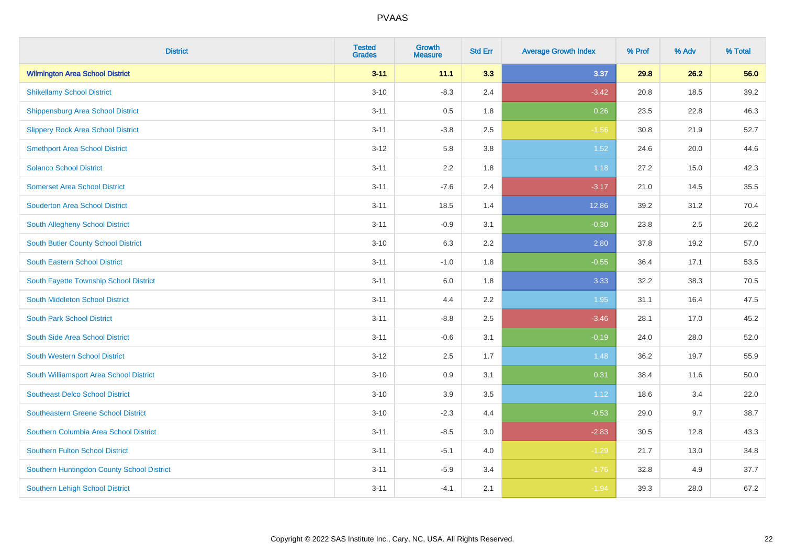| <b>District</b>                            | <b>Tested</b><br><b>Grades</b> | <b>Growth</b><br><b>Measure</b> | <b>Std Err</b> | <b>Average Growth Index</b> | % Prof | % Adv | % Total |
|--------------------------------------------|--------------------------------|---------------------------------|----------------|-----------------------------|--------|-------|---------|
| <b>Wilmington Area School District</b>     | $3 - 11$                       | 11.1                            | 3.3            | 3.37                        | 29.8   | 26.2  | 56.0    |
| <b>Shikellamy School District</b>          | $3 - 10$                       | $-8.3$                          | 2.4            | $-3.42$                     | 20.8   | 18.5  | 39.2    |
| <b>Shippensburg Area School District</b>   | $3 - 11$                       | 0.5                             | 1.8            | 0.26                        | 23.5   | 22.8  | 46.3    |
| <b>Slippery Rock Area School District</b>  | $3 - 11$                       | $-3.8$                          | 2.5            | $-1.56$                     | 30.8   | 21.9  | 52.7    |
| <b>Smethport Area School District</b>      | $3 - 12$                       | 5.8                             | 3.8            | 1.52                        | 24.6   | 20.0  | 44.6    |
| <b>Solanco School District</b>             | $3 - 11$                       | 2.2                             | 1.8            | 1.18                        | 27.2   | 15.0  | 42.3    |
| <b>Somerset Area School District</b>       | $3 - 11$                       | $-7.6$                          | 2.4            | $-3.17$                     | 21.0   | 14.5  | 35.5    |
| <b>Souderton Area School District</b>      | $3 - 11$                       | 18.5                            | 1.4            | 12.86                       | 39.2   | 31.2  | 70.4    |
| South Allegheny School District            | $3 - 11$                       | $-0.9$                          | 3.1            | $-0.30$                     | 23.8   | 2.5   | 26.2    |
| South Butler County School District        | $3 - 10$                       | 6.3                             | 2.2            | 2.80                        | 37.8   | 19.2  | 57.0    |
| <b>South Eastern School District</b>       | $3 - 11$                       | $-1.0$                          | 1.8            | $-0.55$                     | 36.4   | 17.1  | 53.5    |
| South Fayette Township School District     | $3 - 11$                       | 6.0                             | 1.8            | 3.33                        | 32.2   | 38.3  | 70.5    |
| South Middleton School District            | $3 - 11$                       | 4.4                             | 2.2            | 1.95                        | 31.1   | 16.4  | 47.5    |
| <b>South Park School District</b>          | $3 - 11$                       | $-8.8$                          | 2.5            | $-3.46$                     | 28.1   | 17.0  | 45.2    |
| South Side Area School District            | $3 - 11$                       | $-0.6$                          | 3.1            | $-0.19$                     | 24.0   | 28.0  | 52.0    |
| <b>South Western School District</b>       | $3 - 12$                       | 2.5                             | 1.7            | 1.48                        | 36.2   | 19.7  | 55.9    |
| South Williamsport Area School District    | $3 - 10$                       | 0.9                             | 3.1            | 0.31                        | 38.4   | 11.6  | 50.0    |
| <b>Southeast Delco School District</b>     | $3 - 10$                       | 3.9                             | 3.5            | 1.12                        | 18.6   | 3.4   | 22.0    |
| <b>Southeastern Greene School District</b> | $3 - 10$                       | $-2.3$                          | 4.4            | $-0.53$                     | 29.0   | 9.7   | 38.7    |
| Southern Columbia Area School District     | $3 - 11$                       | $-8.5$                          | 3.0            | $-2.83$                     | 30.5   | 12.8  | 43.3    |
| <b>Southern Fulton School District</b>     | $3 - 11$                       | $-5.1$                          | 4.0            | $-1.29$                     | 21.7   | 13.0  | 34.8    |
| Southern Huntingdon County School District | $3 - 11$                       | $-5.9$                          | 3.4            | $-1.76$                     | 32.8   | 4.9   | 37.7    |
| <b>Southern Lehigh School District</b>     | $3 - 11$                       | $-4.1$                          | 2.1            | $-1.94$                     | 39.3   | 28.0  | 67.2    |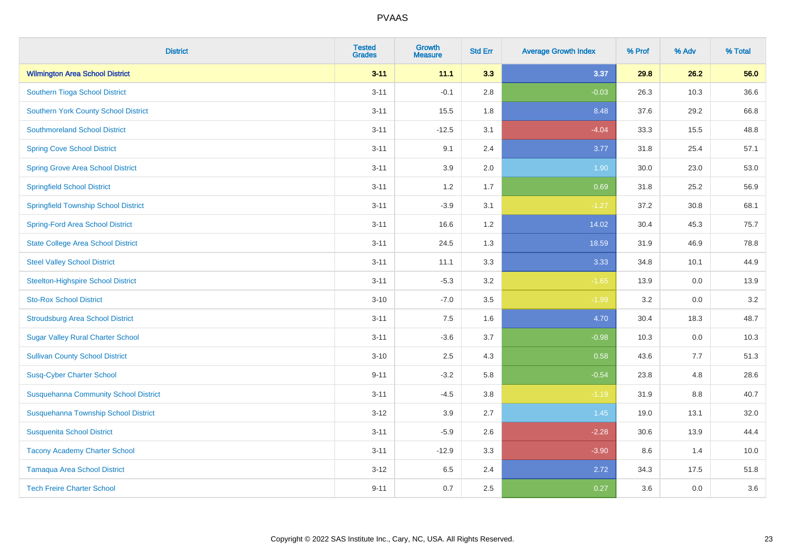| <b>District</b>                              | <b>Tested</b><br><b>Grades</b> | <b>Growth</b><br><b>Measure</b> | <b>Std Err</b> | <b>Average Growth Index</b> | % Prof | % Adv | % Total |
|----------------------------------------------|--------------------------------|---------------------------------|----------------|-----------------------------|--------|-------|---------|
| <b>Wilmington Area School District</b>       | $3 - 11$                       | 11.1                            | 3.3            | 3.37                        | 29.8   | 26.2  | 56.0    |
| Southern Tioga School District               | $3 - 11$                       | $-0.1$                          | 2.8            | $-0.03$                     | 26.3   | 10.3  | 36.6    |
| <b>Southern York County School District</b>  | $3 - 11$                       | 15.5                            | 1.8            | 8.48                        | 37.6   | 29.2  | 66.8    |
| <b>Southmoreland School District</b>         | $3 - 11$                       | $-12.5$                         | 3.1            | $-4.04$                     | 33.3   | 15.5  | 48.8    |
| <b>Spring Cove School District</b>           | $3 - 11$                       | 9.1                             | 2.4            | 3.77                        | 31.8   | 25.4  | 57.1    |
| <b>Spring Grove Area School District</b>     | $3 - 11$                       | 3.9                             | 2.0            | 1.90                        | 30.0   | 23.0  | 53.0    |
| <b>Springfield School District</b>           | $3 - 11$                       | 1.2                             | 1.7            | 0.69                        | 31.8   | 25.2  | 56.9    |
| <b>Springfield Township School District</b>  | $3 - 11$                       | $-3.9$                          | 3.1            | $-1.27$                     | 37.2   | 30.8  | 68.1    |
| <b>Spring-Ford Area School District</b>      | $3 - 11$                       | 16.6                            | 1.2            | 14.02                       | 30.4   | 45.3  | 75.7    |
| <b>State College Area School District</b>    | $3 - 11$                       | 24.5                            | 1.3            | 18.59                       | 31.9   | 46.9  | 78.8    |
| <b>Steel Valley School District</b>          | $3 - 11$                       | 11.1                            | 3.3            | 3.33                        | 34.8   | 10.1  | 44.9    |
| <b>Steelton-Highspire School District</b>    | $3 - 11$                       | $-5.3$                          | 3.2            | $-1.65$                     | 13.9   | 0.0   | 13.9    |
| <b>Sto-Rox School District</b>               | $3 - 10$                       | $-7.0$                          | 3.5            | $-1.99$                     | 3.2    | 0.0   | 3.2     |
| <b>Stroudsburg Area School District</b>      | $3 - 11$                       | $7.5\,$                         | 1.6            | 4.70                        | 30.4   | 18.3  | 48.7    |
| <b>Sugar Valley Rural Charter School</b>     | $3 - 11$                       | $-3.6$                          | 3.7            | $-0.98$                     | 10.3   | 0.0   | 10.3    |
| <b>Sullivan County School District</b>       | $3 - 10$                       | 2.5                             | 4.3            | 0.58                        | 43.6   | 7.7   | 51.3    |
| <b>Susq-Cyber Charter School</b>             | $9 - 11$                       | $-3.2$                          | 5.8            | $-0.54$                     | 23.8   | 4.8   | 28.6    |
| <b>Susquehanna Community School District</b> | $3 - 11$                       | $-4.5$                          | 3.8            | $-1.19$                     | 31.9   | 8.8   | 40.7    |
| Susquehanna Township School District         | $3 - 12$                       | 3.9                             | 2.7            | 1.45                        | 19.0   | 13.1  | 32.0    |
| <b>Susquenita School District</b>            | $3 - 11$                       | $-5.9$                          | 2.6            | $-2.28$                     | 30.6   | 13.9  | 44.4    |
| <b>Tacony Academy Charter School</b>         | $3 - 11$                       | $-12.9$                         | 3.3            | $-3.90$                     | 8.6    | 1.4   | 10.0    |
| <b>Tamaqua Area School District</b>          | $3 - 12$                       | 6.5                             | 2.4            | 2.72                        | 34.3   | 17.5  | 51.8    |
| <b>Tech Freire Charter School</b>            | $9 - 11$                       | 0.7                             | 2.5            | 0.27                        | 3.6    | 0.0   | 3.6     |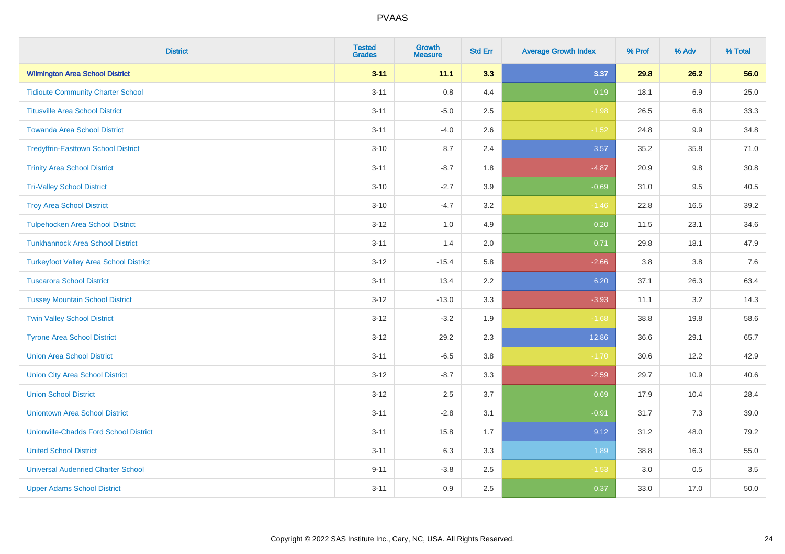| <b>District</b>                               | <b>Tested</b><br><b>Grades</b> | <b>Growth</b><br><b>Measure</b> | <b>Std Err</b> | <b>Average Growth Index</b> | % Prof | % Adv   | % Total |
|-----------------------------------------------|--------------------------------|---------------------------------|----------------|-----------------------------|--------|---------|---------|
| <b>Wilmington Area School District</b>        | $3 - 11$                       | 11.1                            | 3.3            | 3.37                        | 29.8   | 26.2    | 56.0    |
| <b>Tidioute Community Charter School</b>      | $3 - 11$                       | $0.8\,$                         | 4.4            | 0.19                        | 18.1   | 6.9     | 25.0    |
| <b>Titusville Area School District</b>        | $3 - 11$                       | $-5.0$                          | 2.5            | $-1.98$                     | 26.5   | 6.8     | 33.3    |
| <b>Towanda Area School District</b>           | $3 - 11$                       | $-4.0$                          | 2.6            | $-1.52$                     | 24.8   | $9.9\,$ | 34.8    |
| <b>Tredyffrin-Easttown School District</b>    | $3 - 10$                       | 8.7                             | 2.4            | 3.57                        | 35.2   | 35.8    | 71.0    |
| <b>Trinity Area School District</b>           | $3 - 11$                       | $-8.7$                          | 1.8            | $-4.87$                     | 20.9   | 9.8     | 30.8    |
| <b>Tri-Valley School District</b>             | $3 - 10$                       | $-2.7$                          | 3.9            | $-0.69$                     | 31.0   | 9.5     | 40.5    |
| <b>Troy Area School District</b>              | $3 - 10$                       | $-4.7$                          | 3.2            | $-1.46$                     | 22.8   | 16.5    | 39.2    |
| <b>Tulpehocken Area School District</b>       | $3 - 12$                       | 1.0                             | 4.9            | 0.20                        | 11.5   | 23.1    | 34.6    |
| <b>Tunkhannock Area School District</b>       | $3 - 11$                       | 1.4                             | 2.0            | 0.71                        | 29.8   | 18.1    | 47.9    |
| <b>Turkeyfoot Valley Area School District</b> | $3 - 12$                       | $-15.4$                         | 5.8            | $-2.66$                     | 3.8    | 3.8     | $7.6$   |
| <b>Tuscarora School District</b>              | $3 - 11$                       | 13.4                            | 2.2            | 6.20                        | 37.1   | 26.3    | 63.4    |
| <b>Tussey Mountain School District</b>        | $3 - 12$                       | $-13.0$                         | 3.3            | $-3.93$                     | 11.1   | 3.2     | 14.3    |
| <b>Twin Valley School District</b>            | $3 - 12$                       | $-3.2$                          | 1.9            | $-1.68$                     | 38.8   | 19.8    | 58.6    |
| <b>Tyrone Area School District</b>            | $3 - 12$                       | 29.2                            | 2.3            | 12.86                       | 36.6   | 29.1    | 65.7    |
| <b>Union Area School District</b>             | $3 - 11$                       | $-6.5$                          | 3.8            | $-1.70$                     | 30.6   | 12.2    | 42.9    |
| <b>Union City Area School District</b>        | $3 - 12$                       | $-8.7$                          | 3.3            | $-2.59$                     | 29.7   | 10.9    | 40.6    |
| <b>Union School District</b>                  | $3 - 12$                       | 2.5                             | 3.7            | 0.69                        | 17.9   | 10.4    | 28.4    |
| <b>Uniontown Area School District</b>         | $3 - 11$                       | $-2.8$                          | 3.1            | $-0.91$                     | 31.7   | 7.3     | 39.0    |
| <b>Unionville-Chadds Ford School District</b> | $3 - 11$                       | 15.8                            | 1.7            | 9.12                        | 31.2   | 48.0    | 79.2    |
| <b>United School District</b>                 | $3 - 11$                       | 6.3                             | 3.3            | 1.89                        | 38.8   | 16.3    | 55.0    |
| <b>Universal Audenried Charter School</b>     | $9 - 11$                       | $-3.8$                          | 2.5            | $-1.53$                     | 3.0    | 0.5     | 3.5     |
| <b>Upper Adams School District</b>            | $3 - 11$                       | 0.9                             | 2.5            | 0.37                        | 33.0   | 17.0    | 50.0    |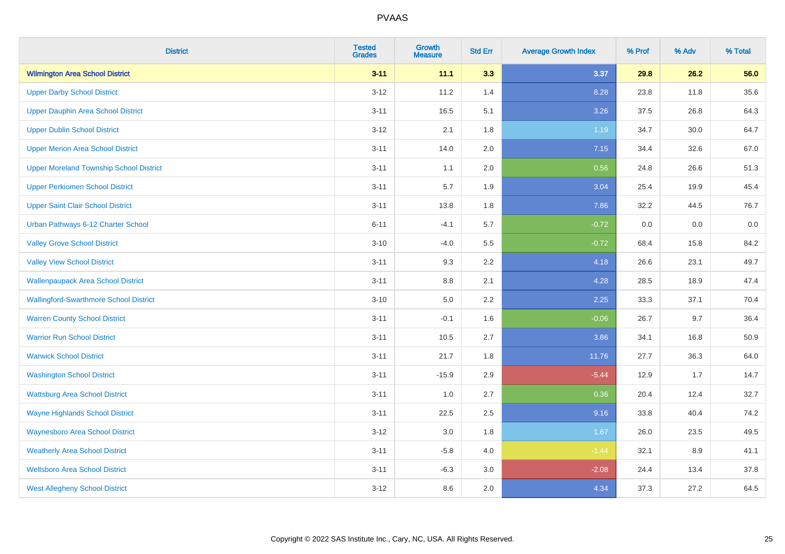| <b>District</b>                                | <b>Tested</b><br><b>Grades</b> | <b>Growth</b><br><b>Measure</b> | <b>Std Err</b> | <b>Average Growth Index</b> | % Prof | % Adv | % Total |
|------------------------------------------------|--------------------------------|---------------------------------|----------------|-----------------------------|--------|-------|---------|
| <b>Wilmington Area School District</b>         | $3 - 11$                       | 11.1                            | 3.3            | 3.37                        | 29.8   | 26.2  | 56.0    |
| <b>Upper Darby School District</b>             | $3 - 12$                       | 11.2                            | 1.4            | 8.28                        | 23.8   | 11.8  | 35.6    |
| <b>Upper Dauphin Area School District</b>      | $3 - 11$                       | 16.5                            | 5.1            | 3.26                        | 37.5   | 26.8  | 64.3    |
| <b>Upper Dublin School District</b>            | $3 - 12$                       | 2.1                             | 1.8            | 1.19                        | 34.7   | 30.0  | 64.7    |
| <b>Upper Merion Area School District</b>       | $3 - 11$                       | 14.0                            | 2.0            | 7.15                        | 34.4   | 32.6  | 67.0    |
| <b>Upper Moreland Township School District</b> | $3 - 11$                       | 1.1                             | 2.0            | 0.56                        | 24.8   | 26.6  | 51.3    |
| <b>Upper Perkiomen School District</b>         | $3 - 11$                       | 5.7                             | 1.9            | 3.04                        | 25.4   | 19.9  | 45.4    |
| <b>Upper Saint Clair School District</b>       | $3 - 11$                       | 13.8                            | 1.8            | 7.86                        | 32.2   | 44.5  | 76.7    |
| Urban Pathways 6-12 Charter School             | $6 - 11$                       | $-4.1$                          | 5.7            | $-0.72$                     | 0.0    | 0.0   | $0.0\,$ |
| <b>Valley Grove School District</b>            | $3 - 10$                       | $-4.0$                          | 5.5            | $-0.72$                     | 68.4   | 15.8  | 84.2    |
| <b>Valley View School District</b>             | $3 - 11$                       | 9.3                             | 2.2            | 4.18                        | 26.6   | 23.1  | 49.7    |
| <b>Wallenpaupack Area School District</b>      | $3 - 11$                       | 8.8                             | 2.1            | 4.28                        | 28.5   | 18.9  | 47.4    |
| <b>Wallingford-Swarthmore School District</b>  | $3 - 10$                       | $5.0\,$                         | 2.2            | 2.25                        | 33.3   | 37.1  | 70.4    |
| <b>Warren County School District</b>           | $3 - 11$                       | $-0.1$                          | 1.6            | $-0.06$                     | 26.7   | 9.7   | 36.4    |
| <b>Warrior Run School District</b>             | $3 - 11$                       | 10.5                            | 2.7            | 3.86                        | 34.1   | 16.8  | 50.9    |
| <b>Warwick School District</b>                 | $3 - 11$                       | 21.7                            | 1.8            | 11.76                       | 27.7   | 36.3  | 64.0    |
| <b>Washington School District</b>              | $3 - 11$                       | $-15.9$                         | 2.9            | $-5.44$                     | 12.9   | 1.7   | 14.7    |
| <b>Wattsburg Area School District</b>          | $3 - 11$                       | 1.0                             | 2.7            | 0.36                        | 20.4   | 12.4  | 32.7    |
| <b>Wayne Highlands School District</b>         | $3 - 11$                       | 22.5                            | 2.5            | 9.16                        | 33.8   | 40.4  | 74.2    |
| <b>Waynesboro Area School District</b>         | $3 - 12$                       | 3.0                             | 1.8            | 1.67                        | 26.0   | 23.5  | 49.5    |
| <b>Weatherly Area School District</b>          | $3 - 11$                       | $-5.8$                          | 4.0            | $-1.44$                     | 32.1   | 8.9   | 41.1    |
| <b>Wellsboro Area School District</b>          | $3 - 11$                       | $-6.3$                          | 3.0            | $-2.08$                     | 24.4   | 13.4  | 37.8    |
| <b>West Allegheny School District</b>          | $3 - 12$                       | 8.6                             | 2.0            | 4.34                        | 37.3   | 27.2  | 64.5    |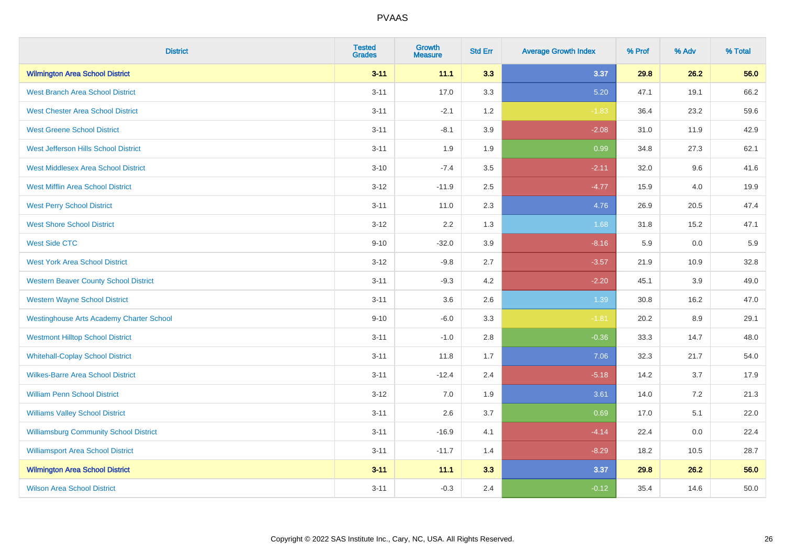| <b>District</b>                                 | <b>Tested</b><br><b>Grades</b> | <b>Growth</b><br><b>Measure</b> | <b>Std Err</b> | <b>Average Growth Index</b> | % Prof | % Adv | % Total |
|-------------------------------------------------|--------------------------------|---------------------------------|----------------|-----------------------------|--------|-------|---------|
| <b>Wilmington Area School District</b>          | $3 - 11$                       | 11.1                            | 3.3            | 3.37                        | 29.8   | 26.2  | 56.0    |
| <b>West Branch Area School District</b>         | $3 - 11$                       | 17.0                            | 3.3            | 5.20                        | 47.1   | 19.1  | 66.2    |
| <b>West Chester Area School District</b>        | $3 - 11$                       | $-2.1$                          | 1.2            | $-1.83$                     | 36.4   | 23.2  | 59.6    |
| <b>West Greene School District</b>              | $3 - 11$                       | $-8.1$                          | 3.9            | $-2.08$                     | 31.0   | 11.9  | 42.9    |
| West Jefferson Hills School District            | $3 - 11$                       | 1.9                             | 1.9            | 0.99                        | 34.8   | 27.3  | 62.1    |
| <b>West Middlesex Area School District</b>      | $3 - 10$                       | $-7.4$                          | 3.5            | $-2.11$                     | 32.0   | 9.6   | 41.6    |
| <b>West Mifflin Area School District</b>        | $3 - 12$                       | $-11.9$                         | 2.5            | $-4.77$                     | 15.9   | 4.0   | 19.9    |
| <b>West Perry School District</b>               | $3 - 11$                       | 11.0                            | 2.3            | 4.76                        | 26.9   | 20.5  | 47.4    |
| <b>West Shore School District</b>               | $3 - 12$                       | 2.2                             | 1.3            | 1.68                        | 31.8   | 15.2  | 47.1    |
| <b>West Side CTC</b>                            | $9 - 10$                       | $-32.0$                         | 3.9            | $-8.16$                     | 5.9    | 0.0   | 5.9     |
| <b>West York Area School District</b>           | $3 - 12$                       | $-9.8$                          | 2.7            | $-3.57$                     | 21.9   | 10.9  | 32.8    |
| <b>Western Beaver County School District</b>    | $3 - 11$                       | $-9.3$                          | 4.2            | $-2.20$                     | 45.1   | 3.9   | 49.0    |
| <b>Western Wayne School District</b>            | $3 - 11$                       | 3.6                             | 2.6            | 1.39                        | 30.8   | 16.2  | 47.0    |
| <b>Westinghouse Arts Academy Charter School</b> | $9 - 10$                       | $-6.0$                          | 3.3            | $-1.81$                     | 20.2   | 8.9   | 29.1    |
| <b>Westmont Hilltop School District</b>         | $3 - 11$                       | $-1.0$                          | 2.8            | $-0.36$                     | 33.3   | 14.7  | 48.0    |
| <b>Whitehall-Coplay School District</b>         | $3 - 11$                       | 11.8                            | 1.7            | 7.06                        | 32.3   | 21.7  | 54.0    |
| <b>Wilkes-Barre Area School District</b>        | $3 - 11$                       | $-12.4$                         | 2.4            | $-5.18$                     | 14.2   | 3.7   | 17.9    |
| <b>William Penn School District</b>             | $3 - 12$                       | 7.0                             | 1.9            | 3.61                        | 14.0   | 7.2   | 21.3    |
| <b>Williams Valley School District</b>          | $3 - 11$                       | 2.6                             | 3.7            | 0.69                        | 17.0   | 5.1   | 22.0    |
| <b>Williamsburg Community School District</b>   | $3 - 11$                       | $-16.9$                         | 4.1            | $-4.14$                     | 22.4   | 0.0   | 22.4    |
| <b>Williamsport Area School District</b>        | $3 - 11$                       | $-11.7$                         | 1.4            | $-8.29$                     | 18.2   | 10.5  | 28.7    |
| <b>Wilmington Area School District</b>          | $3 - 11$                       | 11.1                            | 3.3            | 3.37                        | 29.8   | 26.2  | 56.0    |
| <b>Wilson Area School District</b>              | $3 - 11$                       | $-0.3$                          | 2.4            | $-0.12$                     | 35.4   | 14.6  | 50.0    |